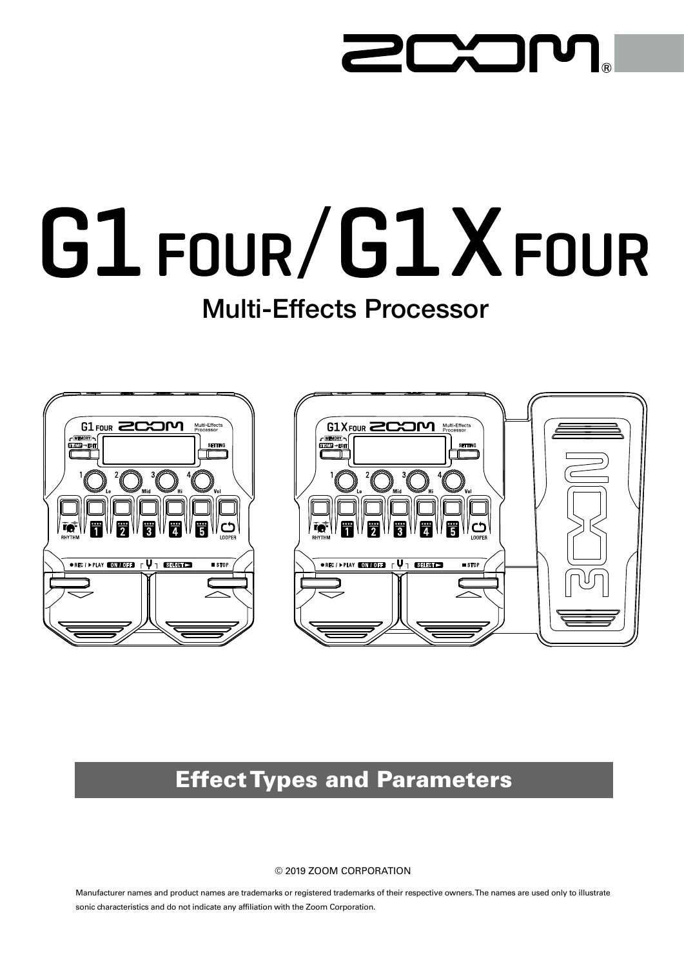## **TXTI** I U I

# G1 FOUR/G1XFOUR

# Multi-Effects Processor





# Effect Types and Parameters

#### © 2019 ZOOM CORPORATION

Manufacturer names and product names are trademarks or registered trademarks of their respective owners. The names are used only to illustrate sonic characteristics and do not indicate any affiliation with the Zoom Corporation.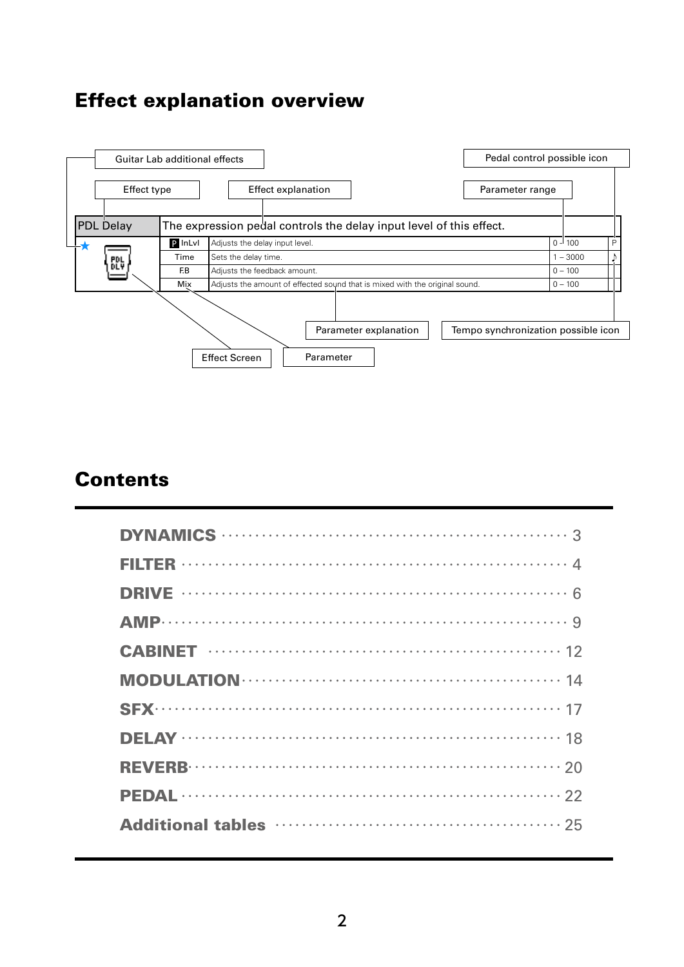## Effect explanation overview



### **Contents**

| Additional tables manufactured and the 25 |
|-------------------------------------------|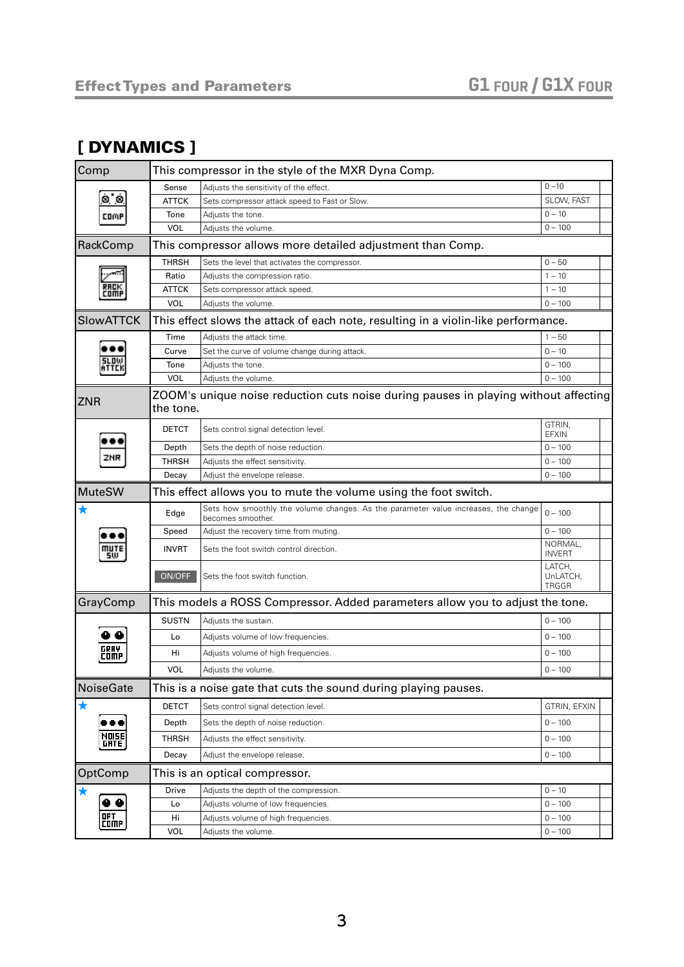#### <span id="page-2-0"></span>[ DYNAMICS ]

| Comp                | This compressor in the style of the MXR Dyna Comp. |                                                                                                         |                                    |  |
|---------------------|----------------------------------------------------|---------------------------------------------------------------------------------------------------------|------------------------------------|--|
|                     | Sense                                              | Adjusts the sensitivity of the effect.                                                                  | $0 - 10$                           |  |
| ò o                 | <b>ATTCK</b>                                       | Sets compressor attack speed to Fast or Slow.                                                           | SLOW, FAST                         |  |
| COMP                | Tone                                               | Adjusts the tone.                                                                                       | $0 - 10$                           |  |
|                     | <b>VOL</b>                                         | Adjusts the volume.                                                                                     | $0 - 100$                          |  |
| RackComp            |                                                    | This compressor allows more detailed adjustment than Comp.                                              |                                    |  |
|                     | <b>THRSH</b>                                       | Sets the level that activates the compressor.                                                           | $0 - 50$                           |  |
|                     | Ratio                                              | Adjusts the compression ratio.                                                                          | $1 - 10$                           |  |
| :OMF                | ATTCK                                              | Sets compressor attack speed.                                                                           | $1 - 10$                           |  |
|                     | <b>VOL</b>                                         | Adjusts the volume.                                                                                     | $0 - 100$                          |  |
| <b>SlowATTCK</b>    |                                                    | This effect slows the attack of each note, resulting in a violin-like performance.                      |                                    |  |
|                     | Time                                               | Adjusts the attack time.                                                                                | $1 - 50$                           |  |
|                     | Curve                                              | Set the curve of volume change during attack.                                                           | $0 - 10$                           |  |
| SLOW                | Tone                                               | Adjusts the tone.                                                                                       | $0 - 100$                          |  |
|                     | <b>VOL</b>                                         | Adjusts the volume.                                                                                     | $0 - 100$                          |  |
| <b>ZNR</b>          | the tone.                                          | ZOOM's unique noise reduction cuts noise during pauses in playing without affecting                     |                                    |  |
|                     | <b>DETCT</b>                                       | Sets control signal detection level.                                                                    | GTRIN.<br><b>EFXIN</b>             |  |
|                     | Depth                                              | Sets the depth of noise reduction.                                                                      | $0 - 100$                          |  |
|                     | <b>THRSH</b>                                       | Adjusts the effect sensitivity.                                                                         | $0 - 100$                          |  |
|                     | Decay                                              | Adjust the envelope release.                                                                            | $0 - 100$                          |  |
| MuteSW              |                                                    | This effect allows you to mute the volume using the foot switch.                                        |                                    |  |
|                     | Edge                                               | Sets how smoothly the volume changes. As the parameter value increases, the change<br>becomes smoother. | $0 - 100$                          |  |
|                     | Speed                                              | Adjust the recovery time from muting.                                                                   | $0 - 100$                          |  |
| mute<br>5W.         | <b>INVRT</b>                                       | Sets the foot switch control direction.                                                                 | NORMAL,<br><b>INVERT</b>           |  |
|                     | ON/OFF                                             | Sets the foot switch function.                                                                          | LATCH,<br>UnLATCH,<br><b>TRGGR</b> |  |
| GrayComp            |                                                    | This models a ROSS Compressor. Added parameters allow you to adjust the tone.                           |                                    |  |
|                     | <b>SUSTN</b>                                       | Adjusts the sustain.                                                                                    | $0 - 100$                          |  |
|                     | Lo                                                 | Adjusts volume of low frequencies.                                                                      | $0 - 100$                          |  |
| GRAY<br>COMP        | Hi                                                 | Adjusts volume of high frequencies.                                                                     | $0 - 100$                          |  |
|                     | <b>VOL</b>                                         | Adjusts the volume.                                                                                     | $0 - 100$                          |  |
| NoiseGate           |                                                    | This is a noise gate that cuts the sound during playing pauses.                                         |                                    |  |
| $\bigstar$          | <b>DETCT</b>                                       | Sets control signal detection level.                                                                    | GTRIN, EFXIN                       |  |
| 80 Q                | Depth                                              | Sets the depth of noise reduction.                                                                      | $0 - 100$                          |  |
| NOISE)<br>[Grte     | THRSH                                              | Adjusts the effect sensitivity.                                                                         | $0 - 100$                          |  |
|                     | Decay                                              | Adjust the envelope release.                                                                            | $0 - 100$                          |  |
| OptComp             |                                                    | This is an optical compressor.                                                                          |                                    |  |
|                     | Drive                                              | Adjusts the depth of the compression.                                                                   | $0 - 10$                           |  |
|                     | Lo                                                 | Adjusts volume of low frequencies.                                                                      | $0 - 100$                          |  |
| OP T<br><b>COMP</b> | Hi                                                 | Adjusts volume of high frequencies.                                                                     | $0 - 100$                          |  |
|                     | VOL                                                | Adjusts the volume.                                                                                     | $0 - 100$                          |  |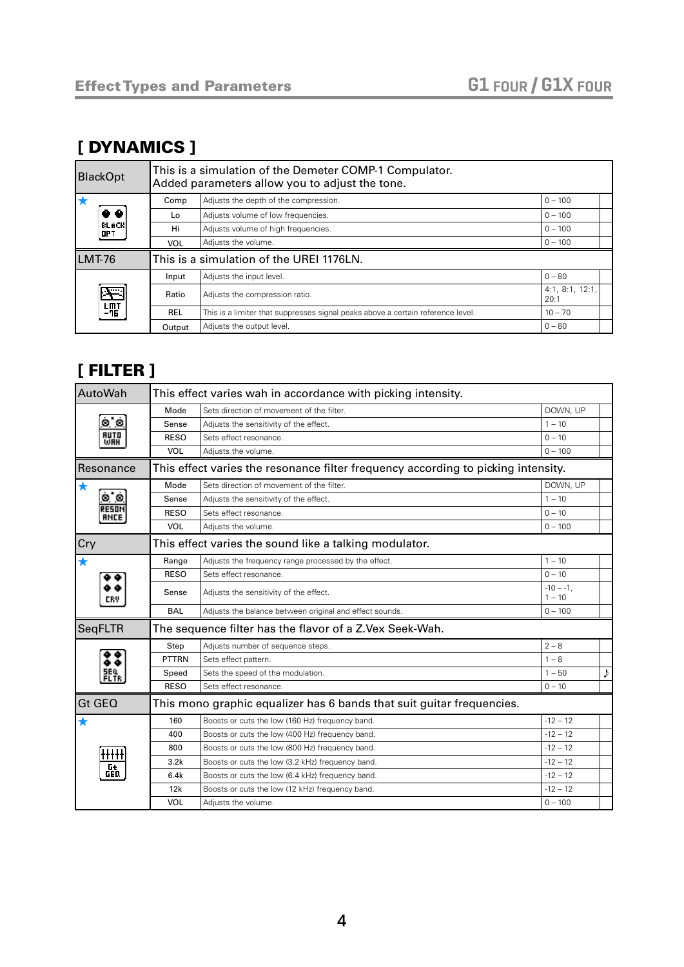#### [ DYNAMICS ]

| <b>BlackOpt</b>     | This is a simulation of the Demeter COMP-1 Compulator.<br>Added parameters allow you to adjust the tone. |                                                                                 |                         |  |  |
|---------------------|----------------------------------------------------------------------------------------------------------|---------------------------------------------------------------------------------|-------------------------|--|--|
|                     | Comp                                                                                                     | Adjusts the depth of the compression.                                           | $0 - 100$               |  |  |
|                     | Lo                                                                                                       | Adjusts volume of low frequencies.                                              | $0 - 100$               |  |  |
| <b>BLACK</b><br>OPT | Hi                                                                                                       | Adjusts volume of high frequencies.                                             | $0 - 100$               |  |  |
|                     | VOL                                                                                                      | Adjusts the volume.                                                             | $0 - 100$               |  |  |
| LMT-76              |                                                                                                          | This is a simulation of the UREI 1176LN.                                        |                         |  |  |
|                     | Input                                                                                                    | Adjusts the input level.                                                        | $0 - 80$                |  |  |
|                     | Ratio                                                                                                    | Adjusts the compression ratio.                                                  | 4:1, 8:1, 12:1,<br>20:1 |  |  |
| 니 <u>까</u> T<br>-가토 | <b>REL</b>                                                                                               | This is a limiter that suppresses signal peaks above a certain reference level. | $10 - 70$               |  |  |
|                     | Output                                                                                                   | Adjusts the output level.                                                       | $0 - 80$                |  |  |

#### <span id="page-3-0"></span>[ FILTER ]

| AutoWah            | This effect varies wah in accordance with picking intensity. |                                                                                   |                          |  |
|--------------------|--------------------------------------------------------------|-----------------------------------------------------------------------------------|--------------------------|--|
|                    | Mode                                                         | Sets direction of movement of the filter.                                         | DOWN, UP                 |  |
| o o                | Sense                                                        | Adjusts the sensitivity of the effect.                                            | $1 - 10$                 |  |
| <b>AUTO</b><br>WAH | <b>RESO</b>                                                  | Sets effect resonance.                                                            | $0 - 10$                 |  |
|                    | <b>VOL</b>                                                   | Adjusts the volume.                                                               | $0 - 100$                |  |
| Resonance          |                                                              | This effect varies the resonance filter frequency according to picking intensity. |                          |  |
| ★                  | Mode                                                         | Sets direction of movement of the filter.                                         | DOWN, UP                 |  |
| o o                | Sense                                                        | Adjusts the sensitivity of the effect.                                            | $1 - 10$                 |  |
|                    | <b>RESO</b>                                                  | Sets effect resonance.                                                            | $0 - 10$                 |  |
|                    | <b>VOL</b>                                                   | Adjusts the volume.                                                               | $0 - 100$                |  |
| Cry                |                                                              | This effect varies the sound like a talking modulator.                            |                          |  |
| $\bigstar$         | Range                                                        | Adjusts the frequency range processed by the effect.                              | $1 - 10$                 |  |
|                    | <b>RESO</b>                                                  | Sets effect resonance.                                                            | $0 - 10$                 |  |
|                    | Sense                                                        | Adjusts the sensitivity of the effect.                                            | $-10 - -1$ .<br>$1 - 10$ |  |
|                    | <b>BAL</b>                                                   | Adjusts the balance between original and effect sounds.                           | $0 - 100$                |  |
| <b>SeqFLTR</b>     |                                                              | The sequence filter has the flavor of a Z.Vex Seek-Wah.                           |                          |  |
|                    | Step                                                         | Adjusts number of sequence steps.                                                 | $2 - 8$                  |  |
|                    | PTTRN                                                        | Sets effect pattern.                                                              | $1 - 8$                  |  |
|                    | Speed                                                        | Sets the speed of the modulation.                                                 | $1 - 50$                 |  |
|                    | <b>RESO</b>                                                  | Sets effect resonance                                                             | $0 - 10$                 |  |
| Gt GEQ             |                                                              | This mono graphic equalizer has 6 bands that suit guitar frequencies.             |                          |  |
| $\bigstar$         | 160                                                          | Boosts or cuts the low (160 Hz) frequency band.                                   | $-12 - 12$               |  |
|                    | 400                                                          | Boosts or cuts the low (400 Hz) frequency band.                                   | $-12 - 12$               |  |
|                    | 800                                                          | Boosts or cuts the low (800 Hz) frequency band.                                   | $-12 - 12$               |  |
|                    | 3.2k                                                         | Boosts or cuts the low (3.2 kHz) frequency band.                                  | $-12 - 12$               |  |
| 떖                  | 6.4k                                                         | Boosts or cuts the low (6.4 kHz) frequency band.                                  | $-12 - 12$               |  |
|                    | 12k                                                          | Boosts or cuts the low (12 kHz) frequency band.                                   | $-12 - 12$               |  |
|                    | VOL                                                          | Adjusts the volume.                                                               | $0 - 100$                |  |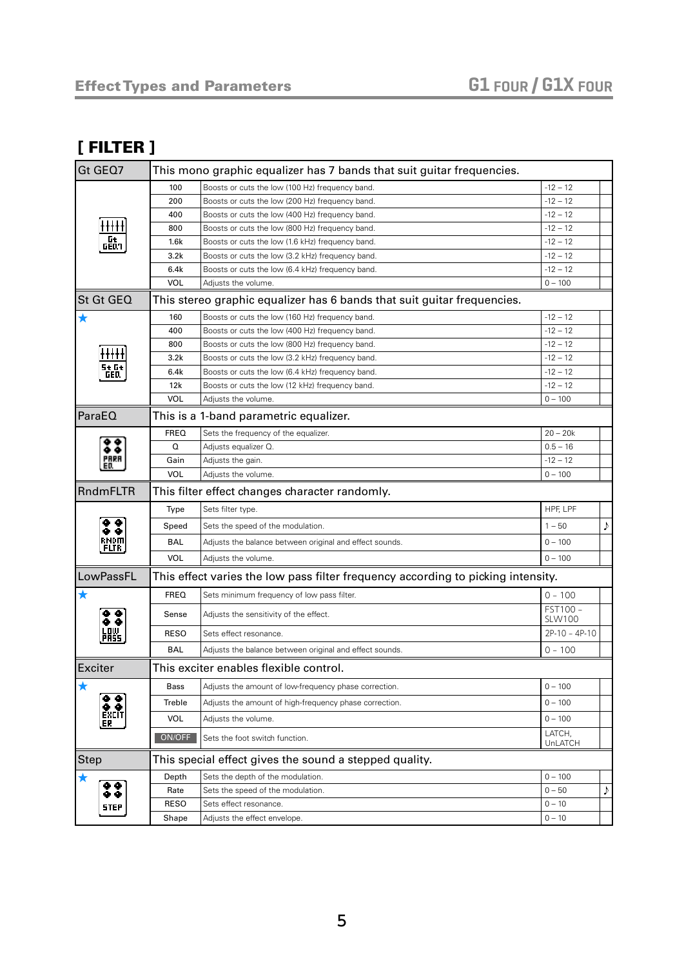#### [ FILTER ]

| Gt GEQ7                                               |             | This mono graphic equalizer has 7 bands that suit guitar frequencies.            |                    |   |
|-------------------------------------------------------|-------------|----------------------------------------------------------------------------------|--------------------|---|
|                                                       | 100         | Boosts or cuts the low (100 Hz) frequency band.                                  | $-12 - 12$         |   |
|                                                       | 200         | Boosts or cuts the low (200 Hz) frequency band.                                  | $-12 - 12$         |   |
|                                                       | 400         | Boosts or cuts the low (400 Hz) frequency band.                                  | $-12 - 12$         |   |
| +++++                                                 | 800         | Boosts or cuts the low (800 Hz) frequency band.                                  | $-12 - 12$         |   |
| ្រូ <del>ង</del><br>ចមណ                               | 1.6k        | Boosts or cuts the low (1.6 kHz) frequency band.                                 | $-12 - 12$         |   |
|                                                       | 3.2k        | Boosts or cuts the low (3.2 kHz) frequency band.                                 | $-12 - 12$         |   |
|                                                       | 6.4k        | Boosts or cuts the low (6.4 kHz) frequency band.                                 | $-12 - 12$         |   |
|                                                       | <b>VOL</b>  | Adjusts the volume.                                                              | $0 - 100$          |   |
| <b>St Gt GEQ</b>                                      |             | This stereo graphic equalizer has 6 bands that suit guitar frequencies.          |                    |   |
| $\bigstar$                                            | 160         | Boosts or cuts the low (160 Hz) frequency band.                                  | $-12 - 12$         |   |
|                                                       | 400         | Boosts or cuts the low (400 Hz) frequency band.                                  | $-12 - 12$         |   |
|                                                       | 800         | Boosts or cuts the low (800 Hz) frequency band.                                  | $-12 - 12$         |   |
|                                                       | 3.2k        | Boosts or cuts the low (3.2 kHz) frequency band.                                 | $-12 - 12$         |   |
| St Gt<br>GED                                          | 6.4k        | Boosts or cuts the low (6.4 kHz) frequency band.                                 | $-12 - 12$         |   |
|                                                       | 12k         | Boosts or cuts the low (12 kHz) frequency band.                                  | $-12 - 12$         |   |
|                                                       | <b>VOL</b>  | Adjusts the volume.                                                              | $0 - 100$          |   |
| ParaEO                                                |             | This is a 1-band parametric equalizer.                                           |                    |   |
|                                                       | <b>FREQ</b> | Sets the frequency of the equalizer.                                             | $20 - 20k$         |   |
|                                                       | Q           | Adjusts equalizer Q.                                                             | $0.5 - 16$         |   |
| ED.                                                   | Gain        | Adjusts the gain.                                                                | $-12 - 12$         |   |
|                                                       | <b>VOL</b>  | Adjusts the volume.                                                              | $0 - 100$          |   |
| RndmFLTR                                              |             | This filter effect changes character randomly.                                   |                    |   |
|                                                       | Type        | Sets filter type.                                                                | HPF, LPF           |   |
| $\bullet$ $\bullet$                                   | Speed       | Sets the speed of the modulation.                                                | $1 - 50$           | ♪ |
| RMDM<br>[Fltr                                         | <b>BAL</b>  | Adjusts the balance between original and effect sounds.                          | $0 - 100$          |   |
|                                                       | <b>VOL</b>  | Adjusts the volume.                                                              | $0 - 100$          |   |
| LowPassFL                                             |             | This effect varies the low pass filter frequency according to picking intensity. |                    |   |
| ★                                                     | <b>FREQ</b> | Sets minimum frequency of low pass filter.                                       | $0 - 100$          |   |
| ė ė                                                   | Sense       | Adjusts the sensitivity of the effect.                                           | FST100 -<br>SLW100 |   |
| LOW.<br>PASS                                          | <b>RESO</b> | Sets effect resonance.                                                           | $2P-10 - 4P-10$    |   |
|                                                       | <b>BAL</b>  | Adjusts the balance between original and effect sounds.                          | $0 - 100$          |   |
| Exciter                                               |             | This exciter enables flexible control.                                           |                    |   |
| ★                                                     | Bass        | Adjusts the amount of low-frequency phase correction.                            | $0 - 100$          |   |
| $\begin{smallmatrix} 0 & 0 \ 0 & 0 \end{smallmatrix}$ | Treble      | Adjusts the amount of high-frequency phase correction.                           | $0 - 100$          |   |
| EXCIT<br>ER                                           | VOL         | Adjusts the volume.                                                              | $0 - 100$          |   |
|                                                       | ON/OFF      | Sets the foot switch function.                                                   | LATCH,<br>UnLATCH  |   |
| <b>Step</b>                                           |             | This special effect gives the sound a stepped quality.                           |                    |   |
| ★                                                     | Depth       | Sets the depth of the modulation.                                                | $0 - 100$          |   |
| ā ē                                                   | Rate        | Sets the speed of the modulation.                                                | $0 - 50$           | ♪ |
| STEP                                                  | <b>RESO</b> | Sets effect resonance.                                                           | $0 - 10$           |   |
|                                                       | Shape       | Adjusts the effect envelope.                                                     | $0 - 10$           |   |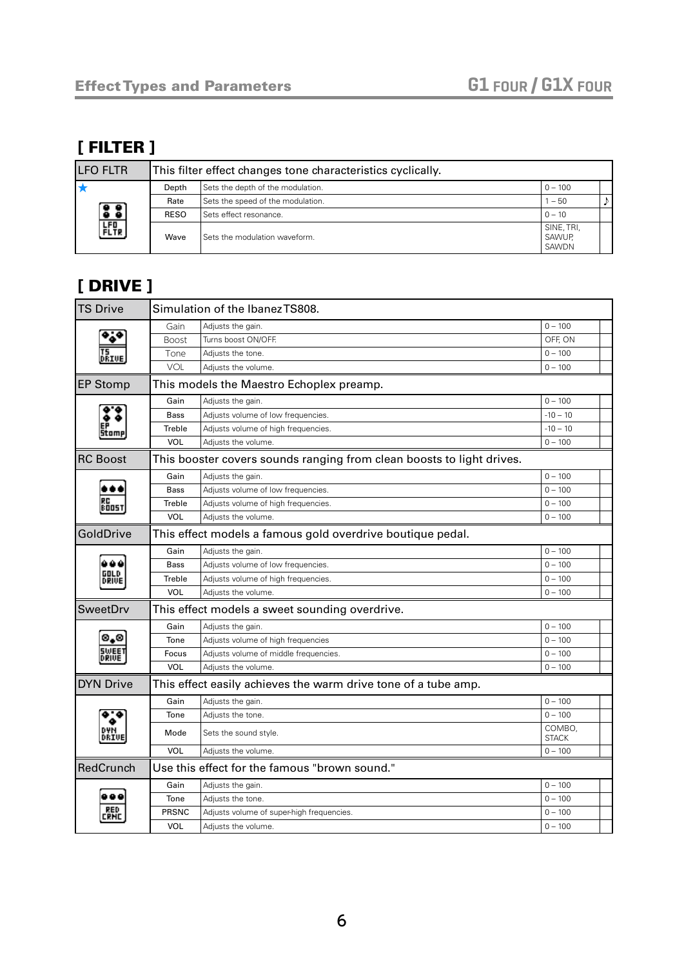### [ FILTER ]

| <b>LFO FLTR</b>                                                |             | This filter effect changes tone characteristics cyclically. |                               |  |
|----------------------------------------------------------------|-------------|-------------------------------------------------------------|-------------------------------|--|
|                                                                | Depth       | Sets the depth of the modulation.                           | $0 - 100$                     |  |
| <u> 33)</u>                                                    | Rate        | Sets the speed of the modulation.                           | $-50$                         |  |
|                                                                | <b>RESO</b> | Sets effect resonance.                                      | $0 - 10$                      |  |
| $\begin{bmatrix} \texttt{FFI} \ \texttt{FLTR} \ \end{bmatrix}$ | Wave        | Sets the modulation waveform.                               | SINE, TRI,<br>SAWUP,<br>SAWDN |  |

### <span id="page-5-0"></span>[ DRIVE ]

| <b>TS Drive</b>  | Simulation of the Ibanez TS808. |                                                                       |                        |  |
|------------------|---------------------------------|-----------------------------------------------------------------------|------------------------|--|
|                  | Gain                            | Adjusts the gain.                                                     | $0 - 100$              |  |
|                  | <b>Boost</b>                    | Turns boost ON/OFF.                                                   | OFF, ON                |  |
|                  | Tone                            | Adjusts the tone.                                                     | $0 - 100$              |  |
|                  | <b>VOL</b>                      | Adiusts the volume.                                                   | $0 - 100$              |  |
| <b>EP Stomp</b>  |                                 | This models the Maestro Echoplex preamp.                              |                        |  |
|                  | Gain                            | Adjusts the gain.                                                     | $0 - 100$              |  |
|                  | <b>Bass</b>                     | Adjusts volume of low frequencies.                                    | $-10 - 10$             |  |
| Stomp            | Treble                          | Adjusts volume of high frequencies.                                   | $-10 - 10$             |  |
|                  | VOL                             | Adiusts the volume.                                                   | $0 - 100$              |  |
| <b>RC Boost</b>  |                                 | This booster covers sounds ranging from clean boosts to light drives. |                        |  |
|                  | Gain                            | Adjusts the gain.                                                     | $0 - 100$              |  |
|                  | <b>Bass</b>                     | Adjusts volume of low frequencies.                                    | $0 - 100$              |  |
| 800S             | Treble                          | Adjusts volume of high frequencies.                                   | $0 - 100$              |  |
|                  | VOL                             | Adjusts the volume.                                                   | $0 - 100$              |  |
| GoldDrive        |                                 | This effect models a famous gold overdrive boutique pedal.            |                        |  |
|                  | Gain                            | Adjusts the gain.                                                     | $0 - 100$              |  |
|                  | <b>Bass</b>                     | Adjusts volume of low frequencies.                                    | $0 - 100$              |  |
|                  | Treble                          | Adjusts volume of high frequencies.                                   | $0 - 100$              |  |
|                  | <b>VOL</b>                      | Adjusts the volume.                                                   | $0 - 100$              |  |
| <b>SweetDrv</b>  |                                 | This effect models a sweet sounding overdrive.                        |                        |  |
|                  | Gain                            | Adjusts the gain.                                                     | $0 - 100$              |  |
| 0,0              | Tone                            | Adjusts volume of high frequencies                                    | $0 - 100$              |  |
| SWEE1<br>DRIVE   | Focus                           | Adjusts volume of middle frequencies.                                 | $0 - 100$              |  |
|                  | <b>VOL</b>                      | Adiusts the volume.                                                   | $0 - 100$              |  |
| <b>DYN Drive</b> |                                 | This effect easily achieves the warm drive tone of a tube amp.        |                        |  |
|                  | Gain                            | Adjusts the gain.                                                     | $0 - 100$              |  |
|                  | Tone                            | Adjusts the tone.                                                     | $0 - 100$              |  |
|                  | Mode                            | Sets the sound style.                                                 | COMBO,<br><b>STACK</b> |  |
|                  | <b>VOL</b>                      | Adjusts the volume.                                                   | $0 - 100$              |  |
| RedCrunch        |                                 | Use this effect for the famous "brown sound."                         |                        |  |
|                  | Gain                            | Adjusts the gain.                                                     | $0 - 100$              |  |
|                  | Tone                            | Adjusts the tone.                                                     | $0 - 100$              |  |
|                  | PRSNC                           | Adjusts volume of super-high frequencies.                             | $0 - 100$              |  |
|                  | <b>VOL</b>                      | Adjusts the volume.                                                   | $0 - 100$              |  |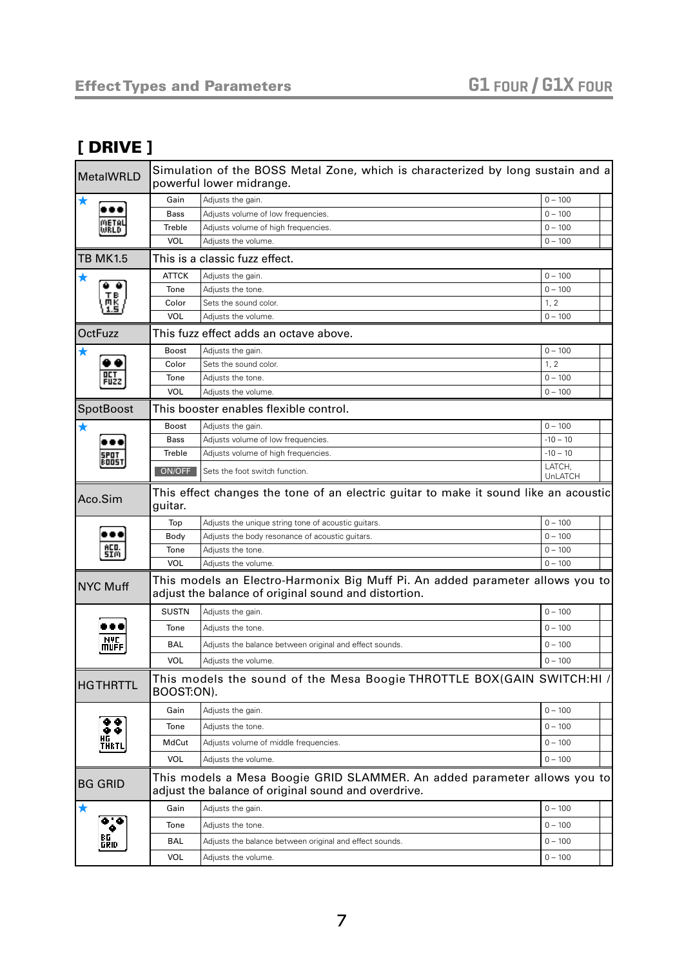#### [ DRIVE ]

| MetalWRLD          | Simulation of the BOSS Metal Zone, which is characterized by long sustain and a<br>powerful lower midrange.                     |                                                                                                                                       |                   |  |  |
|--------------------|---------------------------------------------------------------------------------------------------------------------------------|---------------------------------------------------------------------------------------------------------------------------------------|-------------------|--|--|
|                    | Gain                                                                                                                            | Adjusts the gain.                                                                                                                     | $0 - 100$         |  |  |
| JRLD               | <b>Bass</b>                                                                                                                     | Adjusts volume of low frequencies.                                                                                                    | $0 - 100$         |  |  |
|                    | Treble                                                                                                                          | Adjusts volume of high frequencies.                                                                                                   | $0 - 100$         |  |  |
|                    | <b>VOL</b>                                                                                                                      | Adjusts the volume.                                                                                                                   | $0 - 100$         |  |  |
| <b>TB MK1.5</b>    |                                                                                                                                 | This is a classic fuzz effect.                                                                                                        |                   |  |  |
| ★                  | <b>ATTCK</b>                                                                                                                    | Adjusts the gain.                                                                                                                     | $0 - 100$         |  |  |
|                    | Tone                                                                                                                            | Adjusts the tone.                                                                                                                     | $0 - 100$         |  |  |
|                    | Color                                                                                                                           | Sets the sound color.                                                                                                                 | 1, 2              |  |  |
|                    | <b>VOL</b>                                                                                                                      | Adjusts the volume.                                                                                                                   | $0 - 100$         |  |  |
| <b>OctFuzz</b>     |                                                                                                                                 | This fuzz effect adds an octave above.                                                                                                |                   |  |  |
|                    | <b>Boost</b>                                                                                                                    | Adjusts the gain.                                                                                                                     | $0 - 100$         |  |  |
|                    | Color                                                                                                                           | Sets the sound color.                                                                                                                 | 1, 2              |  |  |
| FUZZ               | Tone                                                                                                                            | Adjusts the tone.                                                                                                                     | $0 - 100$         |  |  |
|                    | <b>VOL</b>                                                                                                                      | Adjusts the volume.                                                                                                                   | $0 - 100$         |  |  |
| SpotBoost          |                                                                                                                                 | This booster enables flexible control.                                                                                                |                   |  |  |
|                    | <b>Boost</b>                                                                                                                    | Adjusts the gain.                                                                                                                     | $0 - 100$         |  |  |
|                    | Bass                                                                                                                            | Adjusts volume of low frequencies.                                                                                                    | $-10 - 10$        |  |  |
| 005T               | Treble                                                                                                                          | Adjusts volume of high frequencies.                                                                                                   | $-10 - 10$        |  |  |
|                    | ON/OFF                                                                                                                          | Sets the foot switch function.                                                                                                        | LATCH,<br>UnLATCH |  |  |
| Aco.Sim            | guitar.                                                                                                                         | This effect changes the tone of an electric guitar to make it sound like an acoustic                                                  |                   |  |  |
|                    | Top                                                                                                                             | Adjusts the unique string tone of acoustic guitars.                                                                                   | $0 - 100$         |  |  |
|                    | Body                                                                                                                            | Adjusts the body resonance of acoustic guitars.                                                                                       | $0 - 100$         |  |  |
| ACO.<br>5IM        | Tone                                                                                                                            | Adjusts the tone.                                                                                                                     | $0 - 100$         |  |  |
|                    | <b>VOL</b>                                                                                                                      | Adjusts the volume.                                                                                                                   | $0 - 100$         |  |  |
| NYC Muff           |                                                                                                                                 | This models an Electro-Harmonix Big Muff Pi. An added parameter allows you to<br>adjust the balance of original sound and distortion. |                   |  |  |
|                    | <b>SUSTN</b>                                                                                                                    | Adjusts the gain.                                                                                                                     | $0 - 100$         |  |  |
|                    | Tone                                                                                                                            | Adjusts the tone.                                                                                                                     | $0 - 100$         |  |  |
| MYC<br>MUFF        | BAL                                                                                                                             | Adjusts the balance between original and effect sounds.                                                                               | $0 - 100$         |  |  |
|                    | VOL                                                                                                                             | Adjusts the volume.                                                                                                                   | $0 - 100$         |  |  |
| <b>HGTHRTTL</b>    | BOOST:ON).                                                                                                                      | This models the sound of the Mesa Boogie THROTTLE BOX(GAIN SWITCH:HI /                                                                |                   |  |  |
|                    | Gain                                                                                                                            | Adjusts the gain.                                                                                                                     | $0 - 100$         |  |  |
|                    | Tone                                                                                                                            | Adjusts the tone.                                                                                                                     | $0 - 100$         |  |  |
| HС<br>THRTL        | MdCut                                                                                                                           | Adjusts volume of middle frequencies.                                                                                                 | $0 - 100$         |  |  |
|                    | <b>VOL</b>                                                                                                                      | Adjusts the volume.                                                                                                                   | $0 - 100$         |  |  |
| <b>BG GRID</b>     | This models a Mesa Boogie GRID SLAMMER. An added parameter allows you to<br>adjust the balance of original sound and overdrive. |                                                                                                                                       |                   |  |  |
| ★                  | Gain                                                                                                                            | Adjusts the gain.                                                                                                                     | $0 - 100$         |  |  |
| . .<br>۰           | Tone                                                                                                                            | Adjusts the tone.                                                                                                                     | $0 - 100$         |  |  |
| BG.<br><b>GRID</b> | BAL                                                                                                                             | Adjusts the balance between original and effect sounds.                                                                               | $0 - 100$         |  |  |
|                    | <b>VOL</b>                                                                                                                      | Adjusts the volume.                                                                                                                   | $0 - 100$         |  |  |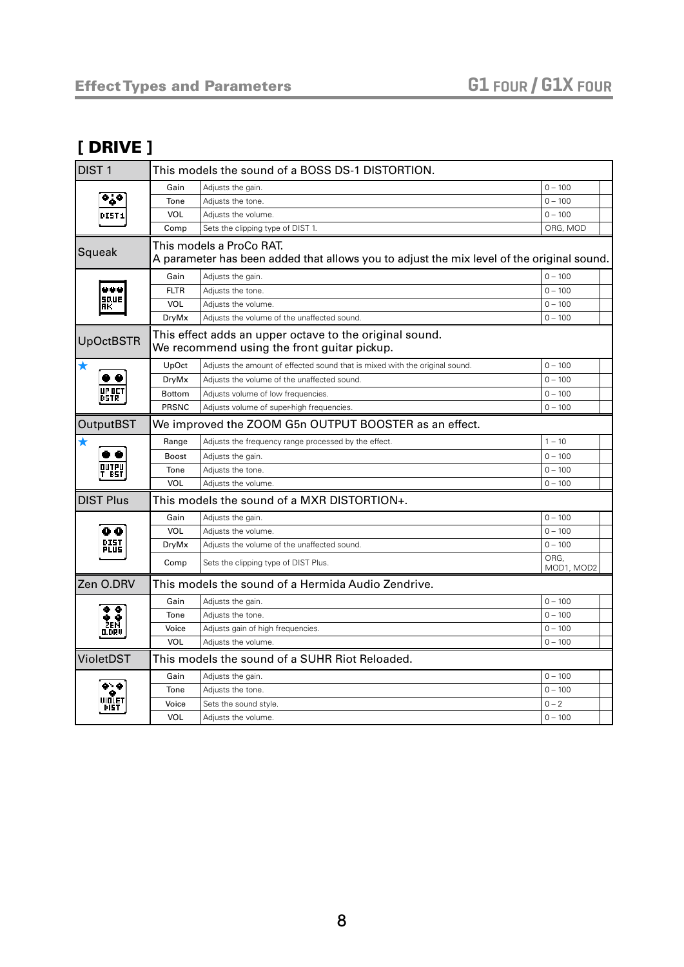#### [ DRIVE ]

| DIST <sub>1</sub> | This models the sound of a BOSS DS-1 DISTORTION. |                                                                                                                       |                    |  |
|-------------------|--------------------------------------------------|-----------------------------------------------------------------------------------------------------------------------|--------------------|--|
|                   | Gain                                             | Adjusts the gain.                                                                                                     | $0 - 100$          |  |
|                   | Tone                                             | Adjusts the tone.                                                                                                     | $0 - 100$          |  |
|                   | VOL                                              | Adjusts the volume.                                                                                                   | $0 - 100$          |  |
|                   | Comp                                             | Sets the clipping type of DIST 1.                                                                                     | ORG, MOD           |  |
| Squeak            |                                                  | This models a ProCo RAT.<br>A parameter has been added that allows you to adjust the mix level of the original sound. |                    |  |
|                   | Gain                                             | Adjusts the gain.                                                                                                     | $0 - 100$          |  |
| 44 L              | <b>FLTR</b>                                      | Adjusts the tone.                                                                                                     | $0 - 100$          |  |
| 50.UE<br>ПK       | VOL                                              | Adjusts the volume.                                                                                                   | $0 - 100$          |  |
|                   | DryMx                                            | Adjusts the volume of the unaffected sound.                                                                           | $0 - 100$          |  |
| <b>UpOctBSTR</b>  |                                                  | This effect adds an upper octave to the original sound.<br>We recommend using the front guitar pickup.                |                    |  |
|                   | UpOct                                            | Adjusts the amount of effected sound that is mixed with the original sound.                                           | $0 - 100$          |  |
|                   | DryMx                                            | Adjusts the volume of the unaffected sound.                                                                           | $0 - 100$          |  |
|                   | Bottom                                           | Adjusts volume of low frequencies.                                                                                    | $0 - 100$          |  |
|                   | <b>PRSNC</b>                                     | Adjusts volume of super-high frequencies.                                                                             | $0 - 100$          |  |
| <b>OutputBST</b>  |                                                  | We improved the ZOOM G5n OUTPUT BOOSTER as an effect.                                                                 |                    |  |
| $\bigstar$        | Range                                            | Adjusts the frequency range processed by the effect.                                                                  | $1 - 10$           |  |
|                   | <b>Boost</b>                                     | Adjusts the gain.                                                                                                     | $0 - 100$          |  |
|                   | Tone                                             | Adjusts the tone.                                                                                                     | $0 - 100$          |  |
|                   | VOL                                              | Adjusts the volume.                                                                                                   | $0 - 100$          |  |
| <b>DIST Plus</b>  |                                                  | This models the sound of a MXR DISTORTION+.                                                                           |                    |  |
|                   | Gain                                             | Adjusts the gain.                                                                                                     | $0 - 100$          |  |
| 88                | <b>VOL</b>                                       | Adjusts the volume.                                                                                                   | $0 - 100$          |  |
| DIST<br>Plus      | <b>DryMx</b>                                     | Adjusts the volume of the unaffected sound.                                                                           | $0 - 100$          |  |
|                   | Comp                                             | Sets the clipping type of DIST Plus.                                                                                  | ORG,<br>MOD1, MOD2 |  |
| Zen O.DRV         |                                                  | This models the sound of a Hermida Audio Zendrive.                                                                    |                    |  |
|                   | Gain                                             | Adjusts the gain.                                                                                                     | $0 - 100$          |  |
|                   | Tone                                             | Adjusts the tone.                                                                                                     | $0 - 100$          |  |
| 0.DRV             | Voice                                            | Adjusts gain of high frequencies.                                                                                     | $0 - 100$          |  |
|                   | VOL                                              | Adjusts the volume.                                                                                                   | $0 - 100$          |  |
| VioletDST         |                                                  | This models the sound of a SUHR Riot Reloaded.                                                                        |                    |  |
|                   | Gain                                             | Adjusts the gain.                                                                                                     | $0 - 100$          |  |
|                   | Tone                                             | Adjusts the tone.                                                                                                     | $0 - 100$          |  |
| DI51              | Voice                                            | Sets the sound style.                                                                                                 | $0 - 2$            |  |
|                   | <b>VOL</b>                                       | Adiusts the volume.                                                                                                   | $0 - 100$          |  |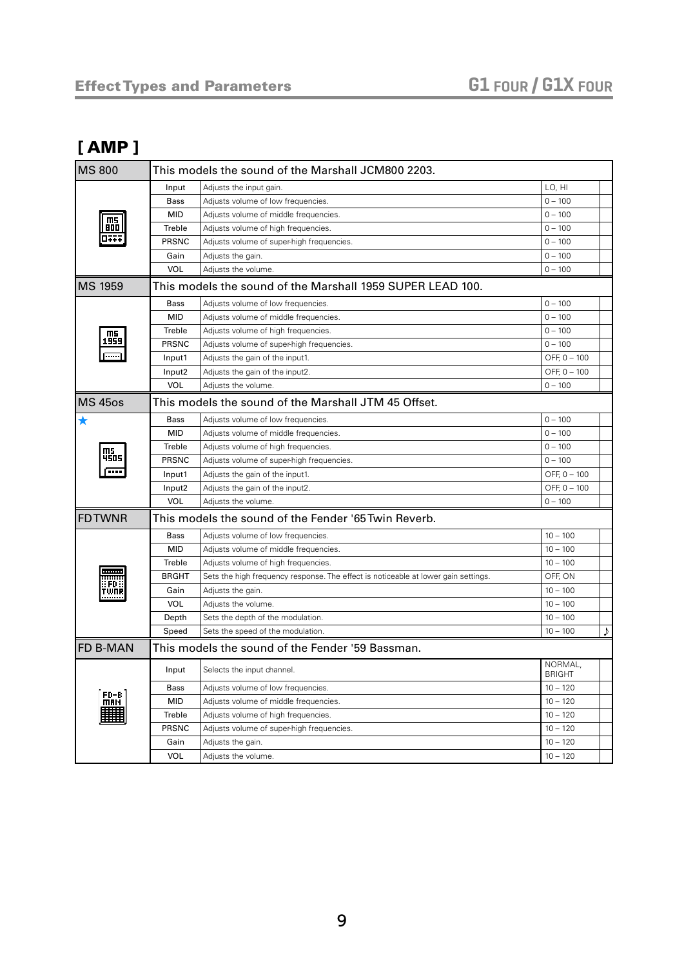#### <span id="page-8-0"></span>[ AMP ]

| <b>MS 800</b>   | This models the sound of the Marshall JCM800 2203. |                                                                                    |                          |
|-----------------|----------------------------------------------------|------------------------------------------------------------------------------------|--------------------------|
|                 | Input                                              | Adjusts the input gain.                                                            | LO, HI                   |
|                 | Bass                                               | Adjusts volume of low frequencies.                                                 | $0 - 100$                |
|                 | <b>MID</b>                                         | Adjusts volume of middle frequencies.                                              | $0 - 100$                |
| $m$<br>800      | Treble                                             | Adjusts volume of high frequencies.                                                | $0 - 100$                |
| OTT7            | <b>PRSNC</b>                                       | Adjusts volume of super-high frequencies.                                          | $0 - 100$                |
|                 | Gain                                               | Adjusts the gain.                                                                  | $0 - 100$                |
|                 | <b>VOL</b>                                         | Adjusts the volume.                                                                | $0 - 100$                |
| <b>MS 1959</b>  |                                                    | This models the sound of the Marshall 1959 SUPER LEAD 100.                         |                          |
|                 | <b>Bass</b>                                        | Adjusts volume of low frequencies.                                                 | $0 - 100$                |
|                 | <b>MID</b>                                         | Adjusts volume of middle frequencies.                                              | $0 - 100$                |
| ms.             | Treble                                             | Adjusts volume of high frequencies.                                                | $0 - 100$                |
| 1959            | <b>PRSNC</b>                                       | Adjusts volume of super-high frequencies.                                          | $0 - 100$                |
| <b>Process</b>  | Input1                                             | Adjusts the gain of the input1.                                                    | OFF, 0 - 100             |
|                 | Input2                                             | Adjusts the gain of the input2.                                                    | OFF, 0 - 100             |
|                 | VOL                                                | Adjusts the volume.                                                                | $0 - 100$                |
| <b>MS 450s</b>  |                                                    | This models the sound of the Marshall JTM 45 Offset.                               |                          |
| $\bigstar$      | <b>Bass</b>                                        | Adjusts volume of low frequencies.                                                 | $0 - 100$                |
|                 | <b>MID</b>                                         | Adjusts volume of middle frequencies.                                              | $0 - 100$                |
|                 | Treble                                             | Adjusts volume of high frequencies.                                                | $0 - 100$                |
| 4505            | <b>PRSNC</b>                                       | Adjusts volume of super-high frequencies.                                          | $0 - 100$                |
| ī               | Input1                                             | Adjusts the gain of the input1.                                                    | OFF, 0 - 100             |
|                 | Input2                                             | Adjusts the gain of the input2.                                                    | OFF, 0 - 100             |
|                 | <b>VOL</b>                                         | Adjusts the volume.                                                                | $0 - 100$                |
| <b>FDTWNR</b>   |                                                    | This models the sound of the Fender '65 Twin Reverb.                               |                          |
|                 | <b>Bass</b>                                        | Adjusts volume of low frequencies.                                                 | $10 - 100$               |
|                 | <b>MID</b>                                         | Adjusts volume of middle frequencies.                                              | $10 - 100$               |
|                 | Treble                                             | Adjusts volume of high frequencies.                                                | $10 - 100$               |
|                 | <b>BRGHT</b>                                       | Sets the high frequency response. The effect is noticeable at lower gain settings. | OFF, ON                  |
| FD.<br>TWNR     | Gain                                               | Adjusts the gain.                                                                  | $10 - 100$               |
|                 | <b>VOL</b>                                         | Adjusts the volume.                                                                | $10 - 100$               |
|                 | Depth                                              | Sets the depth of the modulation.                                                  | $10 - 100$               |
|                 | Speed                                              | Sets the speed of the modulation.                                                  | J)<br>$10 - 100$         |
| <b>FD B-MAN</b> |                                                    | This models the sound of the Fender '59 Bassman.                                   |                          |
|                 | Input                                              | Selects the input channel.                                                         | NORMAL,<br><b>BRIGHT</b> |
|                 | Bass                                               | Adjusts volume of low frequencies.                                                 | $10 - 120$               |
| FD-B<br>MAN     | <b>MID</b>                                         | Adjusts volume of middle frequencies.                                              | $10 - 120$               |
|                 | Treble                                             | Adjusts volume of high frequencies.                                                | $10 - 120$               |
|                 | PRSNC                                              | Adjusts volume of super-high frequencies.                                          | $10 - 120$               |
|                 | Gain                                               | Adjusts the gain.                                                                  | $10 - 120$               |
|                 | <b>VOL</b>                                         | Adjusts the volume.                                                                | $10 - 120$               |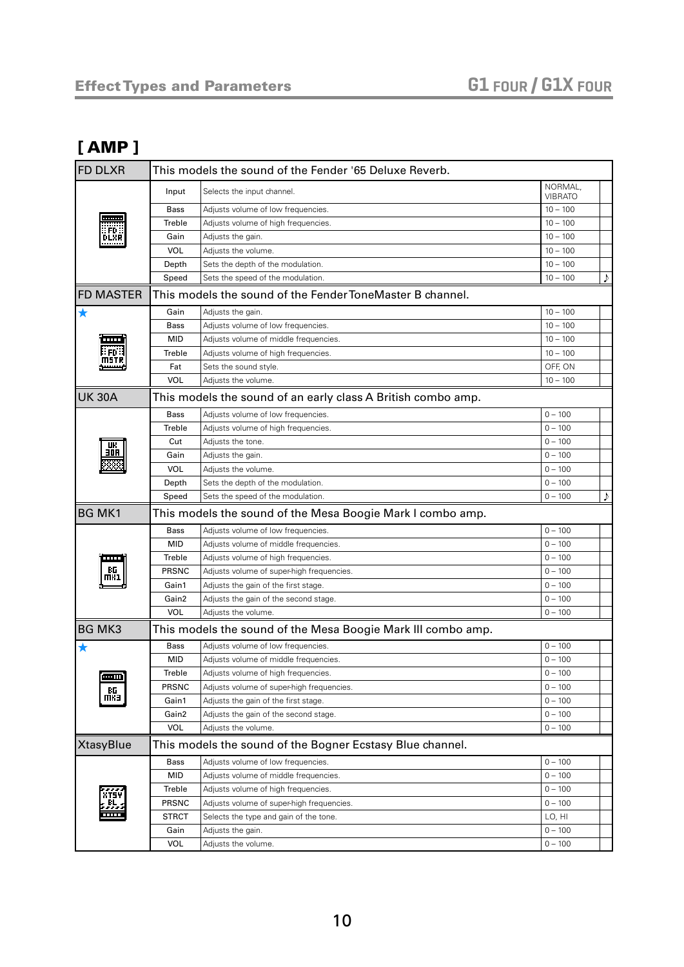#### [ AMP ]

| <b>FD DLXR</b>   | This models the sound of the Fender '65 Deluxe Reverb. |                                                              |                           |    |  |
|------------------|--------------------------------------------------------|--------------------------------------------------------------|---------------------------|----|--|
|                  | Input                                                  | Selects the input channel.                                   | NORMAL,<br><b>VIBRATO</b> |    |  |
|                  | <b>Bass</b>                                            | Adjusts volume of low frequencies.                           | $10 - 100$                |    |  |
| .                | Treble                                                 | Adjusts volume of high frequencies.                          | $10 - 100$                |    |  |
| DLXR             | Gain                                                   | Adjusts the gain.                                            | $10 - 100$                |    |  |
|                  | <b>VOL</b>                                             | Adjusts the volume.                                          | $10 - 100$                |    |  |
|                  | Depth                                                  | Sets the depth of the modulation.                            | $10 - 100$                |    |  |
|                  | Speed                                                  | Sets the speed of the modulation.                            | $10 - 100$                | ♪  |  |
| <b>FD MASTER</b> |                                                        | This models the sound of the Fender ToneMaster B channel.    |                           |    |  |
| ★                | Gain                                                   | Adjusts the gain.                                            | $10 - 100$                |    |  |
|                  | Bass                                                   | Adjusts volume of low frequencies.                           | $10 - 100$                |    |  |
|                  | <b>MID</b>                                             | Adjusts volume of middle frequencies.                        | $10 - 100$                |    |  |
| : FD :           | Treble                                                 | Adjusts volume of high frequencies.                          | $10 - 100$                |    |  |
| MSTR             | Fat                                                    | Sets the sound style.                                        | OFF, ON                   |    |  |
|                  | <b>VOL</b>                                             | Adjusts the volume.                                          | $10 - 100$                |    |  |
| <b>UK 30A</b>    |                                                        | This models the sound of an early class A British combo amp. |                           |    |  |
|                  | <b>Bass</b>                                            | Adjusts volume of low frequencies.                           | $0 - 100$                 |    |  |
|                  | Treble                                                 | Adjusts volume of high frequencies.                          | $0 - 100$                 |    |  |
|                  | Cut                                                    | Adjusts the tone.                                            | $0 - 100$                 |    |  |
| 30A              | Gain                                                   | Adjusts the gain.                                            | $0 - 100$                 |    |  |
|                  | <b>VOL</b>                                             | Adjusts the volume.                                          | $0 - 100$                 |    |  |
|                  | Depth                                                  | Sets the depth of the modulation.                            | $0 - 100$                 |    |  |
|                  | Speed                                                  | Sets the speed of the modulation.                            | $0 - 100$                 | J) |  |
|                  |                                                        |                                                              |                           |    |  |
| <b>BG MK1</b>    |                                                        | This models the sound of the Mesa Boogie Mark I combo amp.   |                           |    |  |
|                  | <b>Bass</b>                                            | Adjusts volume of low frequencies.                           | $0 - 100$                 |    |  |
|                  | <b>MID</b>                                             | Adjusts volume of middle frequencies.                        | $0 - 100$                 |    |  |
| <b>TELESCO</b>   | Treble                                                 | Adjusts volume of high frequencies.                          | $0 - 100$                 |    |  |
|                  | PRSNC                                                  | Adjusts volume of super-high frequencies.                    | $0 - 100$                 |    |  |
| mĸ1              | Gain1                                                  | Adjusts the gain of the first stage.                         | $0 - 100$                 |    |  |
|                  | Gain2                                                  | Adjusts the gain of the second stage.                        | $0 - 100$                 |    |  |
|                  | <b>VOL</b>                                             | Adjusts the volume.                                          | $0 - 100$                 |    |  |
| <b>BG MK3</b>    |                                                        | This models the sound of the Mesa Boogie Mark III combo amp. |                           |    |  |
|                  | <b>Bass</b>                                            | Adjusts volume of low frequencies.                           | $0 - 100$                 |    |  |
|                  | MID                                                    | Adjusts volume of middle frequencies.                        | $0 - 100$                 |    |  |
|                  | Treble                                                 | Adjusts volume of high frequencies.                          | $0 - 100$                 |    |  |
| اسمه             | <b>PRSNC</b>                                           | Adjusts volume of super-high frequencies.                    | $0 - 100$                 |    |  |
| RG<br>Inka       | Gain1                                                  | Adjusts the gain of the first stage.                         | $0 - 100$                 |    |  |
|                  | Gain2                                                  | Adjusts the gain of the second stage.                        | $0 - 100$                 |    |  |
|                  | VOL                                                    | Adjusts the volume.                                          | $0 - 100$                 |    |  |
| <b>XtasyBlue</b> |                                                        | This models the sound of the Bogner Ecstasy Blue channel.    |                           |    |  |
|                  | Bass                                                   | Adjusts volume of low frequencies.                           | $0 - 100$                 |    |  |
|                  | <b>MID</b>                                             | Adjusts volume of middle frequencies.                        | $0 - 100$                 |    |  |
|                  | Treble                                                 | Adjusts volume of high frequencies.                          | $0 - 100$                 |    |  |
| XTS4             | <b>PRSNC</b>                                           | Adjusts volume of super-high frequencies.                    | $0 - 100$                 |    |  |
|                  | <b>STRCT</b>                                           | Selects the type and gain of the tone.                       | LO, HI                    |    |  |
|                  | Gain                                                   | Adjusts the gain.                                            | $0 - 100$                 |    |  |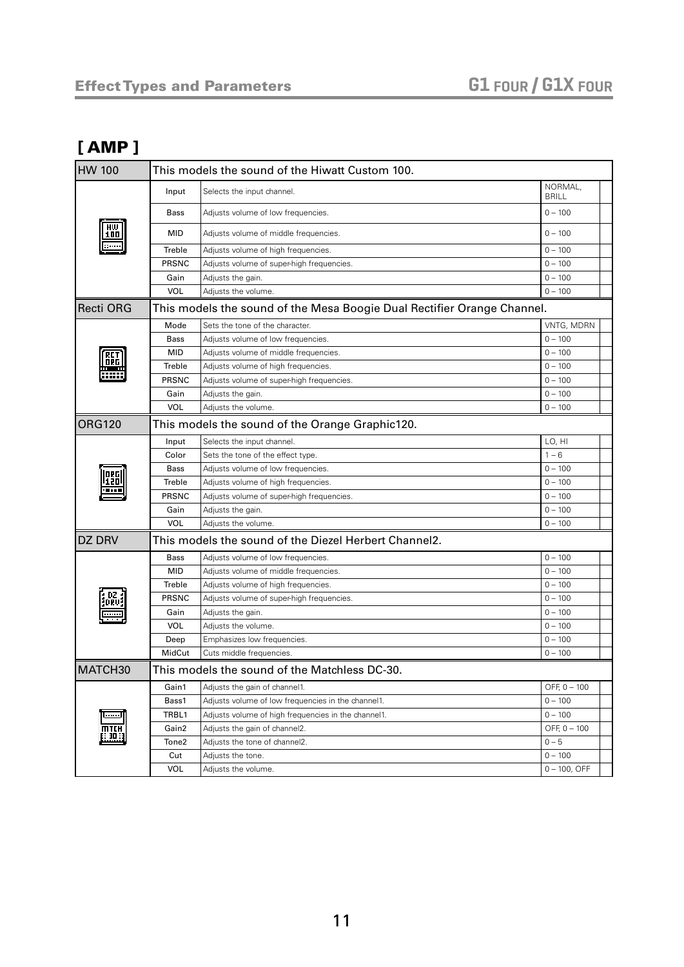#### [ AMP ]

| <b>HW 100</b> | This models the sound of the Hiwatt Custom 100. |                                                                         |                         |
|---------------|-------------------------------------------------|-------------------------------------------------------------------------|-------------------------|
|               | Input                                           | Selects the input channel.                                              | NORMAL,<br><b>BRILL</b> |
|               | Bass                                            | Adjusts volume of low frequencies.                                      | $0 - 100$               |
| 100           | <b>MID</b>                                      | Adjusts volume of middle frequencies.                                   | $0 - 100$               |
|               | Treble                                          | Adjusts volume of high frequencies.                                     | $0 - 100$               |
|               | <b>PRSNC</b>                                    | Adjusts volume of super-high frequencies.                               | $0 - 100$               |
|               | Gain                                            | Adjusts the gain.                                                       | $0 - 100$               |
|               | <b>VOL</b>                                      | Adjusts the volume.                                                     | $0 - 100$               |
| Recti ORG     |                                                 | This models the sound of the Mesa Boogie Dual Rectifier Orange Channel. |                         |
|               | Mode                                            | Sets the tone of the character.                                         | VNTG, MDRN              |
|               | Bass                                            | Adjusts volume of low frequencies.                                      | $0 - 100$               |
|               | <b>MID</b>                                      | Adjusts volume of middle frequencies.                                   | $0 - 100$               |
|               | Treble                                          | Adjusts volume of high frequencies.                                     | $0 - 100$               |
|               | <b>PRSNC</b>                                    | Adjusts volume of super-high frequencies.                               | $0 - 100$               |
|               | Gain                                            | Adjusts the gain.                                                       | $0 - 100$               |
|               | <b>VOL</b>                                      | Adjusts the volume.                                                     | $0 - 100$               |
| <b>ORG120</b> |                                                 | This models the sound of the Orange Graphic120.                         |                         |
|               | Input                                           | Selects the input channel.                                              | LO. HI                  |
|               | Color                                           | Sets the tone of the effect type.                                       | $1 - 6$                 |
|               | <b>Bass</b>                                     | Adjusts volume of low frequencies.                                      | $0 - 100$               |
|               | Treble                                          | Adjusts volume of high frequencies.                                     | $0 - 100$               |
|               | PRSNC                                           | Adjusts volume of super-high frequencies.                               | $0 - 100$               |
|               | Gain                                            | Adjusts the gain.                                                       | $0 - 100$               |
|               | <b>VOL</b>                                      | Adjusts the volume.                                                     | $0 - 100$               |
| DZ DRV        |                                                 | This models the sound of the Diezel Herbert Channel2.                   |                         |
|               | Bass                                            | Adjusts volume of low frequencies.                                      | $0 - 100$               |
|               | <b>MID</b>                                      | Adjusts volume of middle frequencies.                                   | $0 - 100$               |
|               | Treble                                          | Adjusts volume of high frequencies.                                     | $0 - 100$               |
|               | PRSNC                                           | Adjusts volume of super-high frequencies.                               | $0 - 100$               |
|               | Gain                                            | Adjusts the gain.                                                       | $0 - 100$               |
|               | <b>VOL</b>                                      | Adjusts the volume.                                                     | $0 - 100$               |
|               | Deep                                            | Emphasizes low frequencies.                                             | $0 - 100$               |
|               | MidCut                                          | Cuts middle frequencies.                                                | $0 - 100$               |
| MATCH30       |                                                 | This models the sound of the Matchless DC-30.                           |                         |
|               | Gain1                                           | Adjusts the gain of channel1.                                           | OFF, 0 - 100            |
|               | Bass1                                           | Adjusts volume of low frequencies in the channel1.                      | $0 - 100$               |
| .             | TRBL1                                           | Adjusts volume of high frequencies in the channel1.                     | $0 - 100$               |
| MTIH          | Gain2                                           | Adjusts the gain of channel2.                                           | OFF, 0 - 100            |
| <u>: 30</u>   | Tone <sub>2</sub>                               | Adjusts the tone of channel2.                                           | $0 - 5$                 |
|               | Cut                                             | Adjusts the tone.                                                       | $0 - 100$               |
|               | VOL                                             | Adjusts the volume.                                                     | $0 - 100$ , OFF         |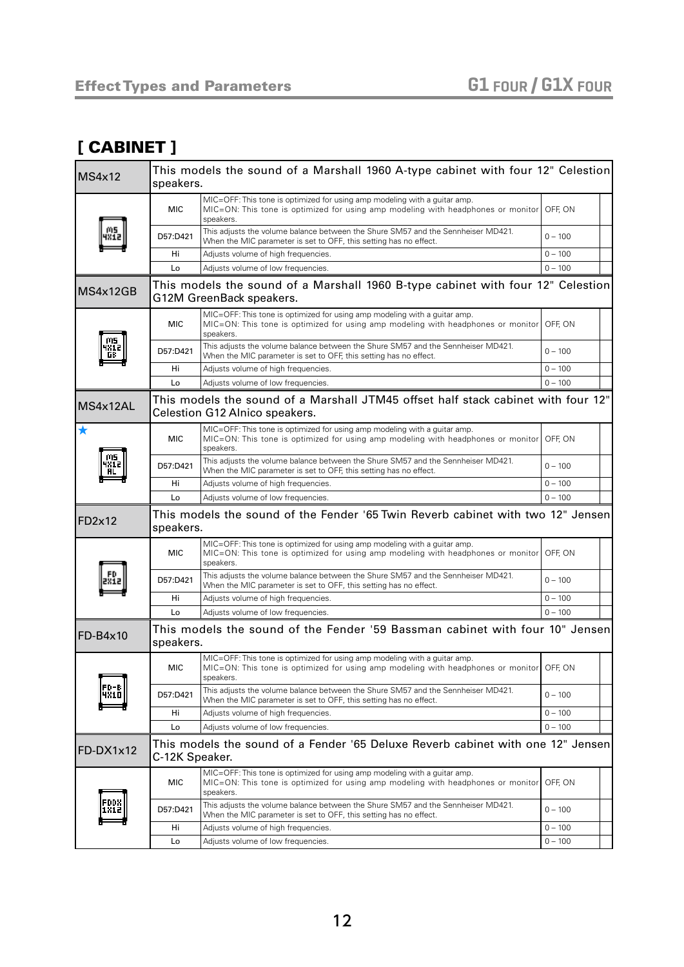#### <span id="page-11-0"></span>[ CABINET ]

| <b>MS4x12</b> | This models the sound of a Marshall 1960 A-type cabinet with four 12" Celestion<br>speakers. |                                                                                                                                                                                    |           |
|---------------|----------------------------------------------------------------------------------------------|------------------------------------------------------------------------------------------------------------------------------------------------------------------------------------|-----------|
|               | <b>MIC</b>                                                                                   | MIC=OFF: This tone is optimized for using amp modeling with a quitar amp.<br>MIC=ON: This tone is optimized for using amp modeling with headphones or monitor<br>speakers.         | OFF, ON   |
|               | D57:D421                                                                                     | This adjusts the volume balance between the Shure SM57 and the Sennheiser MD421.<br>When the MIC parameter is set to OFF, this setting has no effect.                              | $0 - 100$ |
|               | Hi                                                                                           | Adjusts volume of high frequencies.                                                                                                                                                | $0 - 100$ |
|               | Lo                                                                                           | Adjusts volume of low frequencies.                                                                                                                                                 | $0 - 100$ |
| MS4x12GB      |                                                                                              | This models the sound of a Marshall 1960 B-type cabinet with four 12" Celestion<br>G12M GreenBack speakers.                                                                        |           |
|               | <b>MIC</b>                                                                                   | MIC=OFF: This tone is optimized for using amp modeling with a quitar amp.<br>MIC=ON: This tone is optimized for using amp modeling with headphones or monitor<br>speakers.         | OFF, ON   |
|               | D57:D421                                                                                     | This adjusts the volume balance between the Shure SM57 and the Sennheiser MD421.<br>When the MIC parameter is set to OFF, this setting has no effect.                              | $0 - 100$ |
|               | Hi                                                                                           | Adjusts volume of high frequencies.                                                                                                                                                | $0 - 100$ |
|               | Lo                                                                                           | Adjusts volume of low frequencies.                                                                                                                                                 | $0 - 100$ |
| MS4x12AL      |                                                                                              | This models the sound of a Marshall JTM45 offset half stack cabinet with four 12"<br>Celestion G12 Alnico speakers.                                                                |           |
| ★             | <b>MIC</b>                                                                                   | MIC=OFF: This tone is optimized for using amp modeling with a guitar amp.<br>MIC=ON: This tone is optimized for using amp modeling with headphones or monitor<br>speakers.         | OFF, ON   |
|               | D57:D421                                                                                     | This adjusts the volume balance between the Shure SM57 and the Sennheiser MD421.<br>When the MIC parameter is set to OFF, this setting has no effect.                              | $0 - 100$ |
|               | Hi                                                                                           | Adjusts volume of high frequencies.                                                                                                                                                | $0 - 100$ |
|               | Lo                                                                                           | Adjusts volume of low frequencies.                                                                                                                                                 | $0 - 100$ |
| FD2×12        | speakers.                                                                                    | This models the sound of the Fender '65 Twin Reverb cabinet with two 12" Jensen                                                                                                    |           |
|               | <b>MIC</b>                                                                                   | MIC=OFF: This tone is optimized for using amp modeling with a guitar amp.<br>MIC=ON: This tone is optimized for using amp modeling with headphones or monitor<br>speakers.         | OFF, ON   |
|               | D57:D421                                                                                     | This adjusts the volume balance between the Shure SM57 and the Sennheiser MD421.<br>When the MIC parameter is set to OFF, this setting has no effect.                              | $0 - 100$ |
|               | Hi                                                                                           | Adjusts volume of high frequencies.                                                                                                                                                | $0 - 100$ |
|               | Lo                                                                                           | Adjusts volume of low frequencies.                                                                                                                                                 | $0 - 100$ |
| FD-B4x10      | speakers.                                                                                    | This models the sound of the Fender '59 Bassman cabinet with four 10" Jensen                                                                                                       |           |
|               | MIC                                                                                          | MIC=OFF: This tone is optimized for using amp modeling with a guitar amp.<br>MIC=ON: This tone is optimized for using amp modeling with headphones or monitor OFF, ON<br>speakers. |           |
| FD-B          | D57:D421                                                                                     | This adjusts the volume balance between the Shure SM57 and the Sennheiser MD421.<br>When the MIC parameter is set to OFF, this setting has no effect.                              | $0 - 100$ |
|               | Hi                                                                                           | Adjusts volume of high frequencies.                                                                                                                                                | $0 - 100$ |
|               | Lo                                                                                           | Adjusts volume of low frequencies.                                                                                                                                                 | $0 - 100$ |
| FD-DX1x12     | C-12K Speaker.                                                                               | This models the sound of a Fender '65 Deluxe Reverb cabinet with one 12" Jensen                                                                                                    |           |
|               | <b>MIC</b>                                                                                   | MIC=OFF: This tone is optimized for using amp modeling with a guitar amp.<br>MIC=ON: This tone is optimized for using amp modeling with headphones or monitor<br>speakers.         | OFF, ON   |
|               |                                                                                              |                                                                                                                                                                                    |           |
|               | D57:D421                                                                                     | This adjusts the volume balance between the Shure SM57 and the Sennheiser MD421.<br>When the MIC parameter is set to OFF, this setting has no effect.                              | $0 - 100$ |
|               | Hi                                                                                           | Adjusts volume of high frequencies.                                                                                                                                                | $0 - 100$ |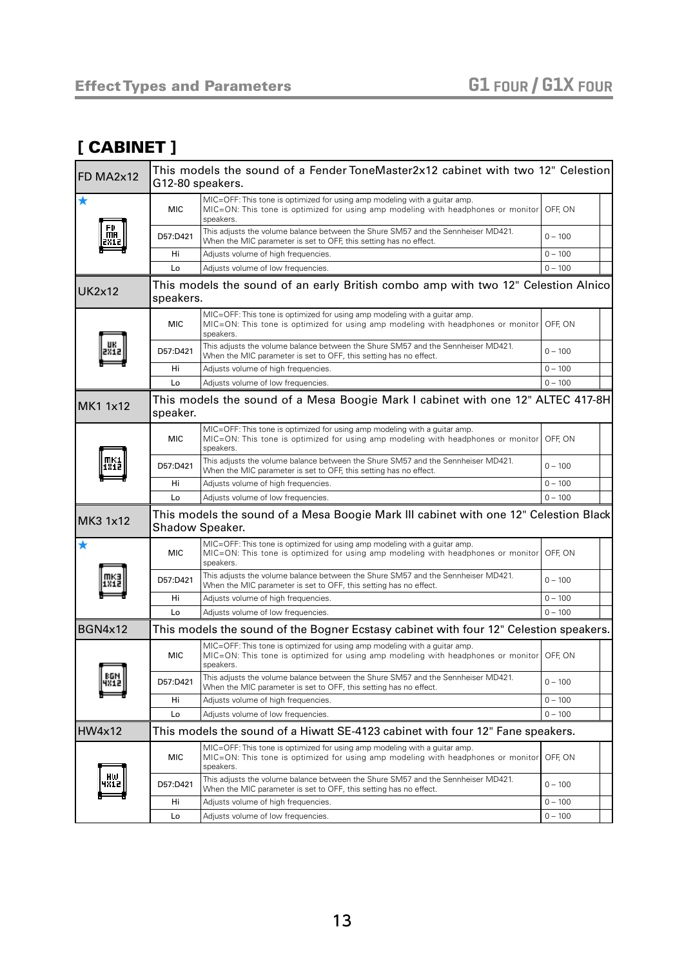#### [ CABINET ]

| FD MA2x12      | This models the sound of a Fender ToneMaster2x12 cabinet with two 12" Celestion<br>G12-80 speakers. |                                                                                                                                                                                    |           |
|----------------|-----------------------------------------------------------------------------------------------------|------------------------------------------------------------------------------------------------------------------------------------------------------------------------------------|-----------|
| ★              | <b>MIC</b>                                                                                          | MIC=OFF: This tone is optimized for using amp modeling with a guitar amp.<br>MIC=ON: This tone is optimized for using amp modeling with headphones or monitor OFF, ON<br>speakers. |           |
|                | D57:D421                                                                                            | This adjusts the volume balance between the Shure SM57 and the Sennheiser MD421.<br>When the MIC parameter is set to OFF, this setting has no effect.                              | $0 - 100$ |
|                | Hi                                                                                                  | Adjusts volume of high frequencies.                                                                                                                                                | $0 - 100$ |
|                | Lo                                                                                                  | Adjusts volume of low frequencies.                                                                                                                                                 | $0 - 100$ |
| <b>UK2x12</b>  | speakers.                                                                                           | This models the sound of an early British combo amp with two 12" Celestion Alnico                                                                                                  |           |
|                | <b>MIC</b>                                                                                          | MIC=OFF: This tone is optimized for using amp modeling with a guitar amp.<br>MIC=ON: This tone is optimized for using amp modeling with headphones or monitor<br>speakers.         | OFF, ON   |
|                | D57:D421                                                                                            | This adjusts the volume balance between the Shure SM57 and the Sennheiser MD421.<br>When the MIC parameter is set to OFF, this setting has no effect.                              | $0 - 100$ |
|                | Hi                                                                                                  | Adjusts volume of high frequencies.                                                                                                                                                | $0 - 100$ |
|                | Lo                                                                                                  | Adjusts volume of low frequencies.                                                                                                                                                 | $0 - 100$ |
| MK1 1x12       | speaker.                                                                                            | This models the sound of a Mesa Boogie Mark I cabinet with one 12" ALTEC 417-8H                                                                                                    |           |
|                | <b>MIC</b>                                                                                          | MIC=OFF: This tone is optimized for using amp modeling with a guitar amp.<br>MIC=ON: This tone is optimized for using amp modeling with headphones or monitor<br>speakers.         | OFF, ON   |
|                | D57:D421                                                                                            | This adjusts the volume balance between the Shure SM57 and the Sennheiser MD421.<br>When the MIC parameter is set to OFF, this setting has no effect.                              | $0 - 100$ |
|                | Hi                                                                                                  | Adjusts volume of high frequencies.                                                                                                                                                | $0 - 100$ |
|                | Lo                                                                                                  | Adjusts volume of low frequencies.                                                                                                                                                 | $0 - 100$ |
| MK3 1x12       |                                                                                                     | This models the sound of a Mesa Boogie Mark III cabinet with one 12" Celestion Black<br>Shadow Speaker.                                                                            |           |
| ★              | <b>MIC</b>                                                                                          | MIC=OFF: This tone is optimized for using amp modeling with a guitar amp.<br>MIC=ON: This tone is optimized for using amp modeling with headphones or monitor<br>speakers.         | OFF, ON   |
|                | D57:D421                                                                                            | This adjusts the volume balance between the Shure SM57 and the Sennheiser MD421.<br>When the MIC parameter is set to OFF, this setting has no effect.                              | $0 - 100$ |
|                | Hi                                                                                                  | Adjusts volume of high frequencies.                                                                                                                                                | $0 - 100$ |
|                | Lo                                                                                                  | Adjusts volume of low frequencies.                                                                                                                                                 | $0 - 100$ |
| <b>BGN4x12</b> |                                                                                                     | This models the sound of the Bogner Ecstasy cabinet with four 12" Celestion speakers.                                                                                              |           |
|                | <b>MIC</b>                                                                                          | MIC=OFF: This tone is optimized for using amp modeling with a guitar amp.<br>MIC=ON: This tone is optimized for using amp modeling with headphones or monitor OFF, ON<br>speakers. |           |
| 4812           | D57:D421                                                                                            | This adjusts the volume balance between the Shure SM57 and the Sennheiser MD421.<br>When the MIC parameter is set to OFF, this setting has no effect.                              | $0 - 100$ |
|                | Hi                                                                                                  | Adjusts volume of high frequencies.                                                                                                                                                | $0 - 100$ |
|                | Lo                                                                                                  | Adjusts volume of low frequencies.                                                                                                                                                 | $0 - 100$ |
| <b>HW4x12</b>  |                                                                                                     | This models the sound of a Hiwatt SE-4123 cabinet with four 12" Fane speakers.                                                                                                     |           |
|                | MIC                                                                                                 | MIC=OFF: This tone is optimized for using amp modeling with a guitar amp.<br>MIC=ON: This tone is optimized for using amp modeling with headphones or monitor<br>speakers.         | OFF. ON   |
|                | D57:D421                                                                                            | This adiusts the volume balance between the Shure SM57 and the Sennheiser MD421.<br>When the MIC parameter is set to OFF, this setting has no effect.                              | $0 - 100$ |
|                | Hi                                                                                                  | Adjusts volume of high frequencies.                                                                                                                                                | $0 - 100$ |
|                | Lo                                                                                                  | Adjusts volume of low frequencies.                                                                                                                                                 | $0 - 100$ |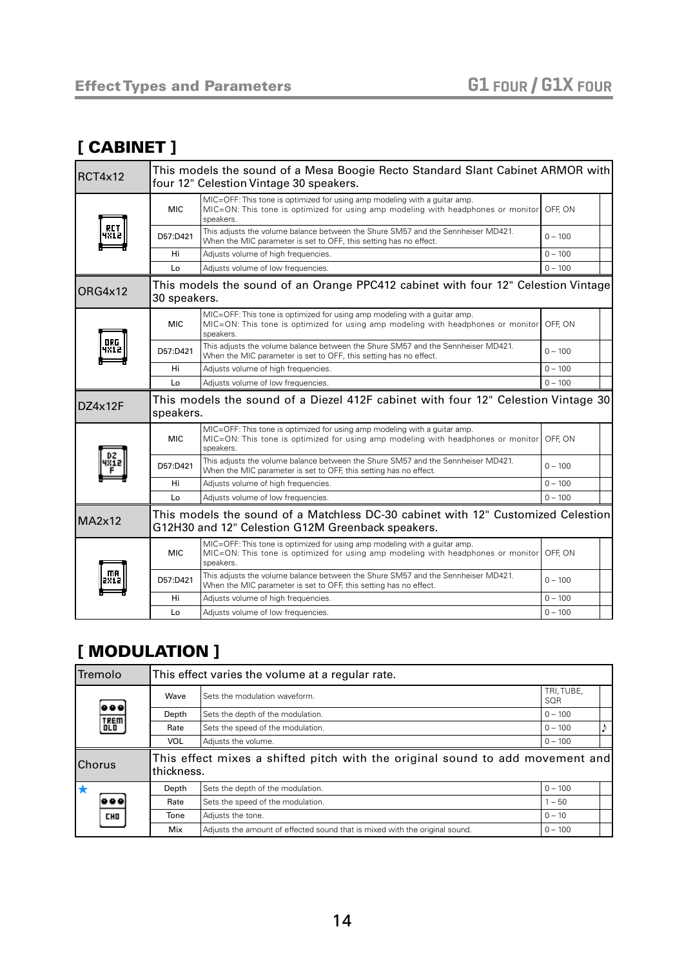#### [ CABINET ]

| RCT4x12       |              | This models the sound of a Mesa Boogie Recto Standard Slant Cabinet ARMOR with<br>four 12" Celestion Vintage 30 speakers.                                                          |           |
|---------------|--------------|------------------------------------------------------------------------------------------------------------------------------------------------------------------------------------|-----------|
|               | <b>MIC</b>   | MIC=OFF: This tone is optimized for using amp modeling with a guitar amp.<br>MIC=ON: This tone is optimized for using amp modeling with headphones or monitor OFF, ON<br>speakers. |           |
|               | D57:D421     | This adjusts the volume balance between the Shure SM57 and the Sennheiser MD421.<br>When the MIC parameter is set to OFF, this setting has no effect.                              | $0 - 100$ |
|               | Hi           | Adjusts volume of high frequencies.                                                                                                                                                | $0 - 100$ |
|               | Lo           | Adjusts volume of low frequencies.                                                                                                                                                 | $0 - 100$ |
| ORG4x12       | 30 speakers. | This models the sound of an Orange PPC412 cabinet with four 12" Celestion Vintage                                                                                                  |           |
|               | <b>MIC</b>   | MIC=OFF: This tone is optimized for using amp modeling with a quitar amp.<br>MIC=ON: This tone is optimized for using amp modeling with headphones or monitor<br>speakers.         | OFF. ON   |
| 0 P.G         | D57:D421     | This adjusts the volume balance between the Shure SM57 and the Sennheiser MD421.<br>When the MIC parameter is set to OFF, this setting has no effect.                              | $0 - 100$ |
|               | Hi           | Adjusts volume of high frequencies.                                                                                                                                                | $0 - 100$ |
|               | Lo           | Adjusts volume of low frequencies.                                                                                                                                                 | $0 - 100$ |
| DZ4x12F       | speakers.    | This models the sound of a Diezel 412F cabinet with four 12" Celestion Vintage 30                                                                                                  |           |
|               | <b>MIC</b>   | MIC=OFF: This tone is optimized for using amp modeling with a guitar amp.<br>MIC=ON: This tone is optimized for using amp modeling with headphones or monitor<br>speakers.         | OFF, ON   |
|               | D57:D421     | This adjusts the volume balance between the Shure SM57 and the Sennheiser MD421.<br>When the MIC parameter is set to OFF, this setting has no effect.                              | $0 - 100$ |
|               | Hi           | Adjusts volume of high frequencies.                                                                                                                                                | $0 - 100$ |
|               | Lo           | Adjusts volume of low frequencies.                                                                                                                                                 | $0 - 100$ |
| <b>MA2x12</b> |              | This models the sound of a Matchless DC-30 cabinet with 12" Customized Celestion<br>G12H30 and 12" Celestion G12M Greenback speakers.                                              |           |
|               |              | MIC=OFF: This tone is optimized for using amp modeling with a guitar amp.                                                                                                          | OFF. ON   |
|               | <b>MIC</b>   | MIC=ON: This tone is optimized for using amp modeling with headphones or monitor<br>speakers.                                                                                      |           |
|               | D57:D421     | This adjusts the volume balance between the Shure SM57 and the Sennheiser MD421.<br>When the MIC parameter is set to OFF, this setting has no effect.                              | $0 - 100$ |
|               | Hi           | Adjusts volume of high frequencies.                                                                                                                                                | $0 - 100$ |

#### <span id="page-13-0"></span>[ MODULATION ]

| <b>Tremolo</b> |             |            | This effect varies the volume at a regular rate.                              |                   |  |  |
|----------------|-------------|------------|-------------------------------------------------------------------------------|-------------------|--|--|
|                | 999         | Wave       | Sets the modulation waveform.                                                 | TRI, TUBE,<br>SQR |  |  |
|                |             | Depth      | Sets the depth of the modulation.                                             | $0 - 100$         |  |  |
|                | TREM<br>0LD | Rate       | Sets the speed of the modulation.                                             | $0 - 100$         |  |  |
|                |             | <b>VOL</b> | Adjusts the volume.                                                           | $0 - 100$         |  |  |
| <b>Chorus</b>  |             | thickness. | This effect mixes a shifted pitch with the original sound to add movement and |                   |  |  |
|                |             | Depth      | Sets the depth of the modulation.                                             | $0 - 100$         |  |  |
|                |             | Rate       | Sets the speed of the modulation.                                             | $1 - 50$          |  |  |
|                | CHO         | Tone       | Adjusts the tone.                                                             | $0 - 10$          |  |  |
|                |             | Mix        | Adjusts the amount of effected sound that is mixed with the original sound.   | $0 - 100$         |  |  |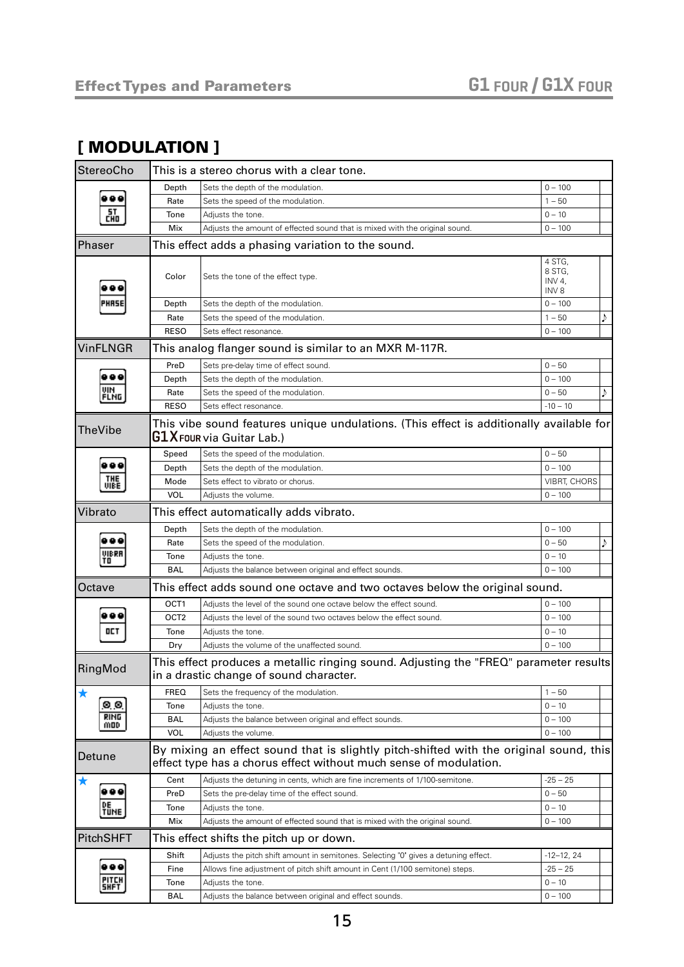#### [ MODULATION ]

| <b>StereoCho</b>     |                  | This is a stereo chorus with a clear tone.                                                                                                                  |                                                |   |
|----------------------|------------------|-------------------------------------------------------------------------------------------------------------------------------------------------------------|------------------------------------------------|---|
|                      | Depth            | Sets the depth of the modulation.                                                                                                                           | $0 - 100$                                      |   |
|                      | Rate             | Sets the speed of the modulation.                                                                                                                           | $1 - 50$                                       |   |
| 땗                    | Tone             | Adjusts the tone.                                                                                                                                           | $0 - 10$                                       |   |
|                      | Mix              | Adjusts the amount of effected sound that is mixed with the original sound.                                                                                 | $0 - 100$                                      |   |
| <b>Phaser</b>        |                  | This effect adds a phasing variation to the sound.                                                                                                          |                                                |   |
|                      | Color            | Sets the tone of the effect type.                                                                                                                           | 4 STG,<br>8 STG,<br>INV 4,<br>INV <sub>8</sub> |   |
|                      | Depth            | Sets the depth of the modulation.                                                                                                                           | $0 - 100$                                      |   |
|                      | Rate             | Sets the speed of the modulation.                                                                                                                           | $1 - 50$                                       | ♪ |
|                      | <b>RESO</b>      | Sets effect resonance.                                                                                                                                      | $0 - 100$                                      |   |
| <b>VinFLNGR</b>      |                  | This analog flanger sound is similar to an MXR M-117R.                                                                                                      |                                                |   |
|                      | PreD             | Sets pre-delay time of effect sound.                                                                                                                        | $0 - 50$                                       |   |
|                      | Depth            | Sets the depth of the modulation.                                                                                                                           | $0 - 100$                                      |   |
| UIN<br>FLNG          | Rate             | Sets the speed of the modulation.                                                                                                                           | $0 - 50$                                       |   |
|                      | <b>RESO</b>      | Sets effect resonance.                                                                                                                                      | $-10 - 10$                                     |   |
| TheVibe              |                  | This vibe sound features unique undulations. (This effect is additionally available for<br>$\mathsf{G1} \mathsf{X}$ FOUR via Guitar Lab.)                   |                                                |   |
|                      | Speed            | Sets the speed of the modulation.                                                                                                                           | $0 - 50$                                       |   |
|                      | Depth            | Sets the depth of the modulation.                                                                                                                           | $0 - 100$                                      |   |
| THE<br>VIBE          | Mode             | Sets effect to vibrato or chorus.                                                                                                                           | <b>VIBRT, CHORS</b>                            |   |
|                      | <b>VOL</b>       | Adjusts the volume.                                                                                                                                         | $0 - 100$                                      |   |
| Vibrato              |                  | This effect automatically adds vibrato.                                                                                                                     |                                                |   |
|                      | Depth            | Sets the depth of the modulation.                                                                                                                           | $0 - 100$                                      |   |
|                      | Rate             | Sets the speed of the modulation.                                                                                                                           | $0 - 50$                                       | Þ |
| UIBRF<br>TO          | Tone             | Adjusts the tone.                                                                                                                                           | $0 - 10$                                       |   |
|                      | <b>BAL</b>       | Adjusts the balance between original and effect sounds.                                                                                                     | $0 - 100$                                      |   |
| Octave               |                  | This effect adds sound one octave and two octaves below the original sound.                                                                                 |                                                |   |
|                      | OCT <sub>1</sub> | Adjusts the level of the sound one octave below the effect sound.                                                                                           | $0 - 100$                                      |   |
|                      | OCT <sub>2</sub> | Adjusts the level of the sound two octaves below the effect sound.                                                                                          | $0 - 100$                                      |   |
| OCT                  | Tone             | Adjusts the tone.                                                                                                                                           | $0 - 10$                                       |   |
|                      | Dry              | Adjusts the volume of the unaffected sound.                                                                                                                 | $0 - 100$                                      |   |
| RingMod              |                  | This effect produces a metallic ringing sound. Adjusting the "FREQ" parameter results<br>in a drastic change of sound character.                            |                                                |   |
| ★                    | <b>FREQ</b>      | Sets the frequency of the modulation.                                                                                                                       | $1 - 50$                                       |   |
| 00                   | Tone             | Adjusts the tone.                                                                                                                                           | $0 - 10$                                       |   |
| RING<br>MOD          | <b>BAL</b>       | Adjusts the balance between original and effect sounds.                                                                                                     | $0 - 100$                                      |   |
|                      | <b>VOL</b>       | Adjusts the volume.                                                                                                                                         | $0 - 100$                                      |   |
| Detune               |                  | By mixing an effect sound that is slightly pitch-shifted with the original sound, this<br>effect type has a chorus effect without much sense of modulation. |                                                |   |
|                      | Cent             | Adjusts the detuning in cents, which are fine increments of 1/100-semitone.                                                                                 | $-25 - 25$                                     |   |
|                      | PreD             | Sets the pre-delay time of the effect sound.                                                                                                                | $0 - 50$                                       |   |
| TUNE                 | Tone             | Adjusts the tone.                                                                                                                                           | $0 - 10$                                       |   |
|                      | Mix              | Adjusts the amount of effected sound that is mixed with the original sound.                                                                                 | $0 - 100$                                      |   |
| PitchSHFT            |                  | This effect shifts the pitch up or down.                                                                                                                    |                                                |   |
|                      | Shift            | Adjusts the pitch shift amount in semitones. Selecting "0" gives a detuning effect.                                                                         | $-12-12, 24$                                   |   |
|                      | Fine             | Allows fine adjustment of pitch shift amount in Cent (1/100 semitone) steps.                                                                                | $-25 - 25$                                     |   |
| PITCH<br><b>SHFT</b> | Tone             | Adjusts the tone.                                                                                                                                           | $0 - 10$                                       |   |
|                      | BAL              | Adjusts the balance between original and effect sounds.                                                                                                     | $0 - 100$                                      |   |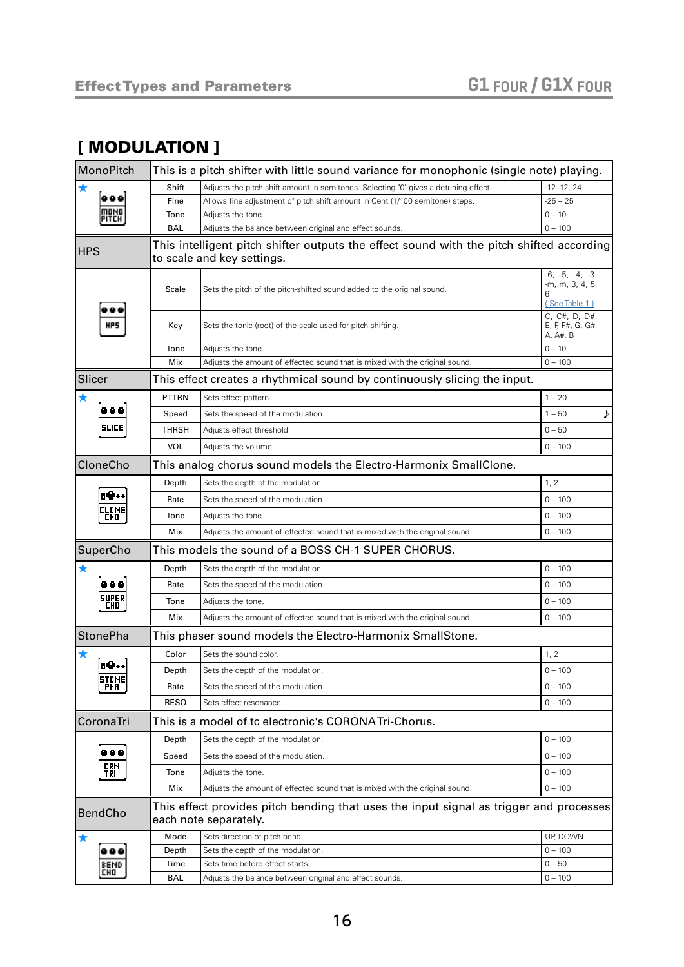#### [ MODULATION ]

| MonoPitch             | This is a pitch shifter with little sound variance for monophonic (single note) playing. |                                                                                                                        |                                                                |   |
|-----------------------|------------------------------------------------------------------------------------------|------------------------------------------------------------------------------------------------------------------------|----------------------------------------------------------------|---|
| $\bigstar$            | Shift                                                                                    | Adjusts the pitch shift amount in semitones. Selecting "0" gives a detuning effect.                                    | $-12-12, 24$                                                   |   |
|                       | Fine                                                                                     | Allows fine adjustment of pitch shift amount in Cent (1/100 semitone) steps.                                           | $-25 - 25$                                                     |   |
| <b>PITCH</b>          | Tone                                                                                     | Adjusts the tone.                                                                                                      | $0 - 10$                                                       |   |
|                       | <b>BAL</b>                                                                               | Adjusts the balance between original and effect sounds.                                                                | $0 - 100$                                                      |   |
| <b>HPS</b>            |                                                                                          | This intelligent pitch shifter outputs the effect sound with the pitch shifted according<br>to scale and key settings. |                                                                |   |
|                       | Scale                                                                                    | Sets the pitch of the pitch-shifted sound added to the original sound.                                                 | $-6, -5, -4, -3,$<br>-m, m, 3, 4, 5,                           |   |
| HP5                   | Key                                                                                      | Sets the tonic (root) of the scale used for pitch shifting.                                                            | (See Table 1)<br>C, C#, D, D#,<br>E, F, F#, G, G#,<br>A, A#, B |   |
|                       | Tone                                                                                     | Adjusts the tone.                                                                                                      | $0 - 10$                                                       |   |
|                       | Mix                                                                                      | Adjusts the amount of effected sound that is mixed with the original sound.                                            | $0 - 100$                                                      |   |
| Slicer                |                                                                                          | This effect creates a rhythmical sound by continuously slicing the input.                                              |                                                                |   |
| $\bigstar$            | <b>PTTRN</b>                                                                             | Sets effect pattern.                                                                                                   | $1 - 20$                                                       |   |
|                       | Speed                                                                                    | Sets the speed of the modulation.                                                                                      | $1 - 50$                                                       | ♪ |
| <b>SLICE</b>          | THRSH                                                                                    | Adjusts effect threshold.                                                                                              | $0 - 50$                                                       |   |
|                       | <b>VOL</b>                                                                               | Adjusts the volume.                                                                                                    | $0 - 100$                                                      |   |
| CloneCho              |                                                                                          | This analog chorus sound models the Electro-Harmonix SmallClone.                                                       |                                                                |   |
|                       | Depth                                                                                    | Sets the depth of the modulation.                                                                                      | 1, 2                                                           |   |
| <b>10++</b>           | Rate                                                                                     | Sets the speed of the modulation.                                                                                      | $0 - 100$                                                      |   |
| CLOME<br>CHD.         | Tone                                                                                     | Adjusts the tone.                                                                                                      | $0 - 100$                                                      |   |
|                       | Mix                                                                                      | Adjusts the amount of effected sound that is mixed with the original sound.                                            | $0 - 100$                                                      |   |
| SuperCho              |                                                                                          | This models the sound of a BOSS CH-1 SUPER CHORUS.                                                                     |                                                                |   |
| ★                     | Depth                                                                                    | Sets the depth of the modulation.                                                                                      | $0 - 100$                                                      |   |
|                       | Rate                                                                                     | Sets the speed of the modulation.                                                                                      | $0 - 100$                                                      |   |
| SUPER<br>CHO          | Tone                                                                                     | Adjusts the tone.                                                                                                      | $0 - 100$                                                      |   |
|                       | Mix                                                                                      | Adjusts the amount of effected sound that is mixed with the original sound.                                            | $0 - 100$                                                      |   |
| <b>StonePha</b>       |                                                                                          | This phaser sound models the Electro-Harmonix SmallStone.                                                              |                                                                |   |
|                       | Color                                                                                    | Sets the sound color.                                                                                                  | 1, 2                                                           |   |
| <b>n9++</b>           | Depth                                                                                    | Sets the depth of the modulation.                                                                                      | $0 - 100$                                                      |   |
| STOME <br>PHA         | Rate                                                                                     | Sets the speed of the modulation.                                                                                      | $0 - 100$                                                      |   |
|                       | <b>RESO</b>                                                                              | Sets effect resonance.                                                                                                 | $0 - 100$                                                      |   |
| CoronaTri             |                                                                                          | This is a model of tc electronic's CORONATri-Chorus.                                                                   |                                                                |   |
|                       | Depth                                                                                    | Sets the depth of the modulation.                                                                                      | $0 - 100$                                                      |   |
| <br><b>CRN</b><br>TPI | Speed                                                                                    | Sets the speed of the modulation.                                                                                      | $0 - 100$                                                      |   |
|                       | Tone                                                                                     | Adjusts the tone.                                                                                                      | $0 - 100$                                                      |   |
|                       | Mix                                                                                      | Adjusts the amount of effected sound that is mixed with the original sound.                                            | $0 - 100$                                                      |   |
| <b>BendCho</b>        |                                                                                          | This effect provides pitch bending that uses the input signal as trigger and processes<br>each note separately.        |                                                                |   |
| $\bigstar$            | Mode                                                                                     | Sets direction of pitch bend.                                                                                          | UP, DOWN                                                       |   |
|                       | Depth                                                                                    | Sets the depth of the modulation.                                                                                      | $0 - 100$                                                      |   |
| EEMD<br>Cho           | Time                                                                                     | Sets time before effect starts.                                                                                        | $0 - 50$                                                       |   |
|                       | BAL                                                                                      | Adjusts the balance between original and effect sounds.                                                                | $0 - 100$                                                      |   |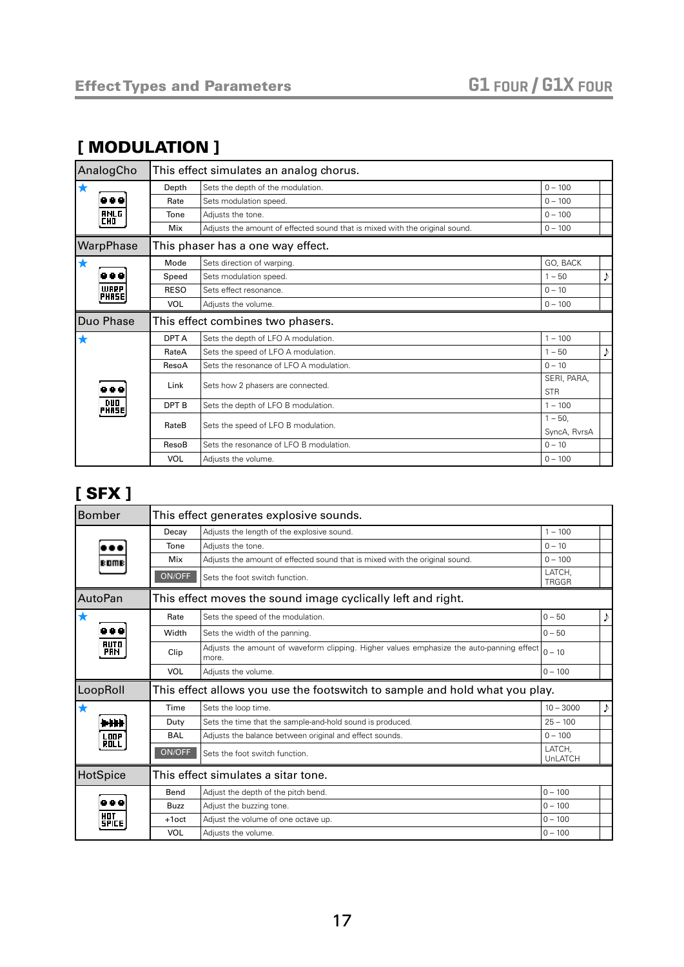#### [ MODULATION ]

| AnalogCho                 |             | This effect simulates an analog chorus.                                     |              |   |
|---------------------------|-------------|-----------------------------------------------------------------------------|--------------|---|
| $\bigstar$                | Depth       | Sets the depth of the modulation.                                           | $0 - 100$    |   |
|                           | Rate        | Sets modulation speed.                                                      | $0 - 100$    |   |
| <b>ANLG</b><br><b>CHO</b> | Tone        | Adjusts the tone.                                                           | $0 - 100$    |   |
|                           | Mix         | Adjusts the amount of effected sound that is mixed with the original sound. | $0 - 100$    |   |
| WarpPhase                 |             | This phaser has a one way effect.                                           |              |   |
| $\bigstar$                | Mode        | Sets direction of warping.                                                  | GO, BACK     |   |
| 88 Q                      | Speed       | Sets modulation speed.                                                      | $1 - 50$     | ♪ |
| <b>WARP</b><br>PHASE      | <b>RESO</b> | Sets effect resonance.                                                      | $0 - 10$     |   |
|                           | <b>VOL</b>  | Adjusts the volume.                                                         | $0 - 100$    |   |
| Duo Phase                 |             | This effect combines two phasers.                                           |              |   |
| ★                         | DPT A       | Sets the depth of LFO A modulation.                                         | $1 - 100$    |   |
|                           | RateA       | Sets the speed of LFO A modulation.                                         | $1 - 50$     |   |
|                           | ResoA       | Sets the resonance of LFO A modulation.                                     | $0 - 10$     |   |
|                           | Link        | Sets how 2 phasers are connected.                                           | SERI, PARA,  |   |
| 88 Q                      |             |                                                                             | <b>STR</b>   |   |
| PHRSE                     | DPT B       | Sets the depth of LFO B modulation.                                         | $1 - 100$    |   |
|                           | RateB       | Sets the speed of LFO B modulation.                                         | $1 - 50$ ,   |   |
|                           |             |                                                                             | SyncA, RyrsA |   |
|                           | ResoB       | Sets the resonance of LFO B modulation.                                     | $0 - 10$     |   |
|                           | VOL         | Adjusts the volume.                                                         | $0 - 100$    |   |

#### <span id="page-16-0"></span>[ SFX ]

| <b>Bomber</b>              |             | This effect generates explosive sounds.                                                           |                        |   |
|----------------------------|-------------|---------------------------------------------------------------------------------------------------|------------------------|---|
|                            | Decay       | Adjusts the length of the explosive sound.                                                        | $1 - 100$              |   |
|                            | Tone        | Adjusts the tone.                                                                                 | $0 - 10$               |   |
| <b>BOMB</b>                | Mix         | Adjusts the amount of effected sound that is mixed with the original sound.                       | $0 - 100$              |   |
|                            | ON/OFF      | Sets the foot switch function.                                                                    | LATCH.<br><b>TRGGR</b> |   |
| AutoPan                    |             | This effect moves the sound image cyclically left and right.                                      |                        |   |
| $\bigstar$                 | Rate        | Sets the speed of the modulation.                                                                 | $0 - 50$               | ♪ |
|                            | Width       | Sets the width of the panning.                                                                    | $0 - 50$               |   |
| <b>AUTO</b><br><b>PRH</b>  | Clip        | Adjusts the amount of waveform clipping. Higher values emphasize the auto-panning effect<br>more. | $0 - 10$               |   |
|                            | <b>VOL</b>  | Adjusts the volume.                                                                               | $0 - 100$              |   |
| LoopRoll                   |             | This effect allows you use the footswitch to sample and hold what you play.                       |                        |   |
|                            | Time        | Sets the loop time.                                                                               | $10 - 3000$            | ♪ |
| h H                        | Duty        | Sets the time that the sample-and-hold sound is produced.                                         | $25 - 100$             |   |
| <b>LOOP</b>                | BAL         | Adjusts the balance between original and effect sounds.                                           | $0 - 100$              |   |
|                            | ON/OFF      | Sets the foot switch function.                                                                    | LATCH.<br>UnLATCH      |   |
| HotSpice                   |             | This effect simulates a sitar tone.                                                               |                        |   |
|                            | Bend        | Adjust the depth of the pitch bend.                                                               | $0 - 100$              |   |
|                            | <b>Buzz</b> | Adjust the buzzing tone.                                                                          | $0 - 100$              |   |
| <b>HOT</b><br><b>SPICE</b> | $+1$ oct    | Adjust the volume of one octave up.                                                               | $0 - 100$              |   |
|                            | <b>VOL</b>  | Adjusts the volume.                                                                               | $0 - 100$              |   |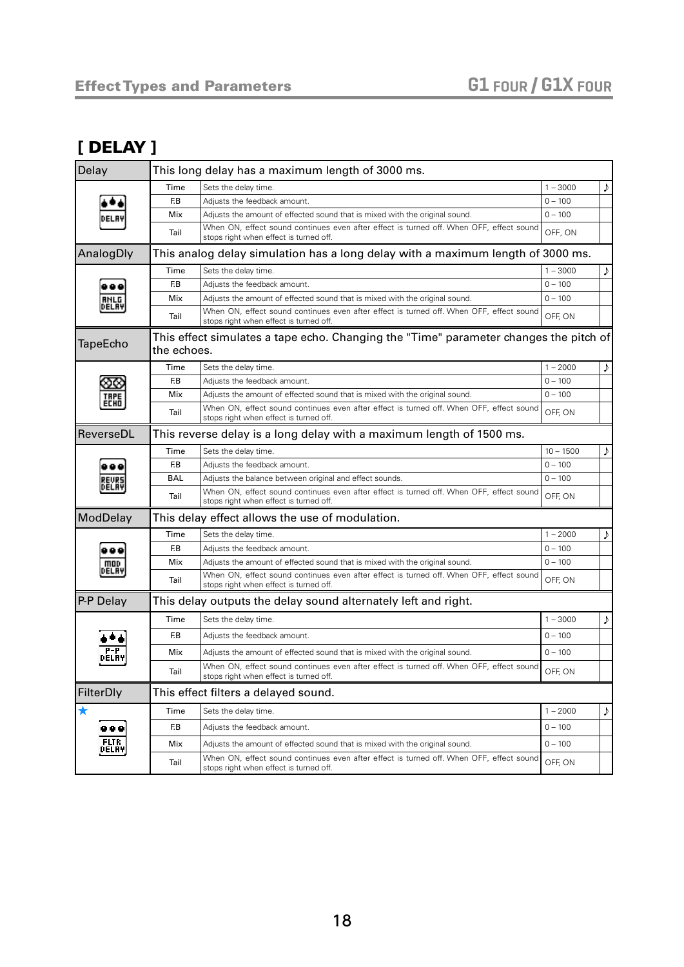#### <span id="page-17-0"></span>[ DELAY ]

| Delay          |             | This long delay has a maximum length of 3000 ms.                                                                                  |             |   |
|----------------|-------------|-----------------------------------------------------------------------------------------------------------------------------------|-------------|---|
|                | Time        | Sets the delay time.                                                                                                              | $1 - 3000$  | ♪ |
|                | F.B         | Adjusts the feedback amount.                                                                                                      | $0 - 100$   |   |
|                | Mix         | Adjusts the amount of effected sound that is mixed with the original sound.                                                       | $0 - 100$   |   |
|                | Tail        | When ON, effect sound continues even after effect is turned off. When OFF, effect sound<br>stops right when effect is turned off. | OFF, ON     |   |
| AnalogDly      |             | This analog delay simulation has a long delay with a maximum length of 3000 ms.                                                   |             |   |
|                | Time        | Sets the delay time.                                                                                                              | $1 - 3000$  | D |
|                | F.B         | Adjusts the feedback amount.                                                                                                      | $0 - 100$   |   |
| ANLG<br>DELAY  | Mix         | Adjusts the amount of effected sound that is mixed with the original sound.                                                       | $0 - 100$   |   |
|                | Tail        | When ON, effect sound continues even after effect is turned off. When OFF, effect sound<br>stops right when effect is turned off. | OFF, ON     |   |
| TapeEcho       | the echoes. | This effect simulates a tape echo. Changing the "Time" parameter changes the pitch of                                             |             |   |
|                | Time        | Sets the delay time.                                                                                                              | $1 - 2000$  | ♪ |
|                | F.B         | Adjusts the feedback amount.                                                                                                      | $0 - 100$   |   |
| ECHO           | Mix         | Adjusts the amount of effected sound that is mixed with the original sound.                                                       | $0 - 100$   |   |
|                | Tail        | When ON, effect sound continues even after effect is turned off. When OFF, effect sound<br>stops right when effect is turned off. | OFF, ON     |   |
| ReverseDL      |             | This reverse delay is a long delay with a maximum length of 1500 ms.                                                              |             |   |
|                | Time        | Sets the delay time.                                                                                                              | $10 - 1500$ | D |
|                | F.B         | Adjusts the feedback amount.                                                                                                      | $0 - 100$   |   |
| )ELAY          | <b>BAL</b>  | Adjusts the balance between original and effect sounds.                                                                           | $0 - 100$   |   |
|                | Tail        | When ON, effect sound continues even after effect is turned off. When OFF, effect sound<br>stops right when effect is turned off. | OFF, ON     |   |
| ModDelay       |             | This delay effect allows the use of modulation.                                                                                   |             |   |
|                | Time        | Sets the delay time.                                                                                                              | $1 - 2000$  |   |
|                | F.B         | Adjusts the feedback amount.                                                                                                      | $0 - 100$   |   |
| moo            | Mix         | Adjusts the amount of effected sound that is mixed with the original sound.                                                       | $0 - 100$   |   |
| DELAY          | Tail        | When ON, effect sound continues even after effect is turned off. When OFF, effect sound<br>stops right when effect is turned off. | OFF, ON     |   |
| P-P Delay      |             | This delay outputs the delay sound alternately left and right.                                                                    |             |   |
|                | Time        | Sets the delay time.                                                                                                              | $1 - 3000$  | ♪ |
|                | F.B         | Adjusts the feedback amount.                                                                                                      | $0 - 100$   |   |
|                | Mix         | Adjusts the amount of effected sound that is mixed with the original sound.                                                       | $0 - 100$   |   |
|                | Tail        | When ON, effect sound continues even after effect is turned off. When OFF, effect sound<br>stops right when effect is turned off. | OFF, ON     |   |
| FilterDly      |             | This effect filters a delayed sound.                                                                                              |             |   |
| ★              | Time        | Sets the delay time.                                                                                                              | $1 - 2000$  | ♪ |
|                | F.B         | Adjusts the feedback amount.                                                                                                      | $0 - 100$   |   |
| FLTR.<br>DELAY | Mix         | Adjusts the amount of effected sound that is mixed with the original sound.                                                       | $0 - 100$   |   |
|                | Tail        | When ON, effect sound continues even after effect is turned off. When OFF, effect sound<br>stops right when effect is turned off. | OFF, ON     |   |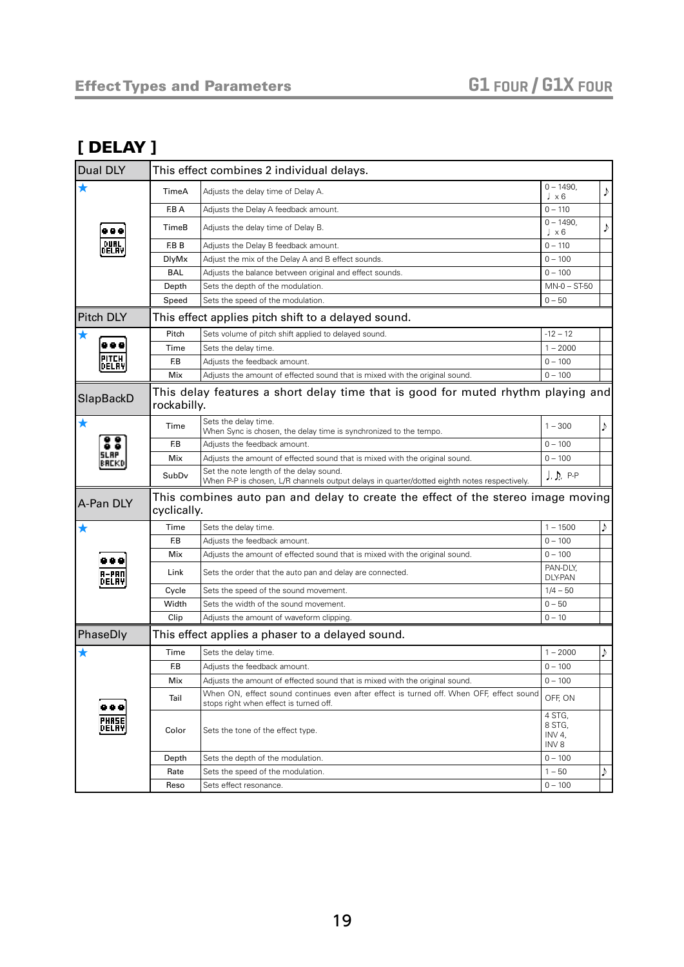#### [ DELAY ]

| Dual DLY           |              | This effect combines 2 individual delays.                                                                                              |                                     |     |
|--------------------|--------------|----------------------------------------------------------------------------------------------------------------------------------------|-------------------------------------|-----|
| ★                  | TimeA        | Adjusts the delay time of Delay A.                                                                                                     | $0 - 1490,$<br>$\sqrt{2 \times 6}$  |     |
|                    | F.B A        | Adjusts the Delay A feedback amount.                                                                                                   | $0 - 110$                           |     |
|                    | TimeB        | Adjusts the delay time of Delay B.                                                                                                     | $0 - 1490$ ,<br>$\sqrt{2 \times 6}$ |     |
| DUAL               | F.B B        | Adjusts the Delay B feedback amount.                                                                                                   | $0 - 110$                           |     |
| DELAY              | <b>DlyMx</b> | Adjust the mix of the Delay A and B effect sounds.                                                                                     | $0 - 100$                           |     |
|                    | <b>BAL</b>   | Adjusts the balance between original and effect sounds.                                                                                | $0 - 100$                           |     |
|                    | Depth        | Sets the depth of the modulation.                                                                                                      | $MN-0 - ST-50$                      |     |
|                    | Speed        | Sets the speed of the modulation.                                                                                                      | $0 - 50$                            |     |
| <b>Pitch DLY</b>   |              | This effect applies pitch shift to a delayed sound.                                                                                    |                                     |     |
| ★                  | Pitch        | Sets volume of pitch shift applied to delayed sound.                                                                                   | $-12 - 12$                          |     |
|                    | Time         | Sets the delay time.                                                                                                                   | $1 - 2000$                          |     |
| PITCH<br>DELAY     | F.B          | Adjusts the feedback amount.                                                                                                           | $0 - 100$                           |     |
|                    | Mix          | Adjusts the amount of effected sound that is mixed with the original sound.                                                            | $0 - 100$                           |     |
| SlapBackD          | rockabilly.  | This delay features a short delay time that is good for muted rhythm playing and                                                       |                                     |     |
| $\bigstar$         | Time         | Sets the delay time.<br>When Sync is chosen, the delay time is synchronized to the tempo.                                              | $1 - 300$                           | J)  |
|                    | F.B          | Adjusts the feedback amount.                                                                                                           | $0 - 100$                           |     |
| 5LAP<br>BACKD      | Mix          | Adjusts the amount of effected sound that is mixed with the original sound.                                                            | $0 - 100$                           |     |
|                    | SubDv        | Set the note length of the delay sound.<br>When P-P is chosen, L/R channels output delays in quarter/dotted eighth notes respectively. | $J, D, P-P$                         |     |
| A-Pan DLY          | cyclically.  | This combines auto pan and delay to create the effect of the stereo image moving                                                       |                                     |     |
| ★                  | Time         | Sets the delay time.                                                                                                                   | $1 - 1500$                          | ♪   |
|                    | F.B          | Adjusts the feedback amount.                                                                                                           | $0 - 100$                           |     |
| .                  | Mix          | Adjusts the amount of effected sound that is mixed with the original sound.                                                            | $0 - 100$                           |     |
| A-PAN              | Link         | Sets the order that the auto pan and delay are connected.                                                                              | PAN-DLY,<br><b>DLY-PAN</b>          |     |
| DELAY              | Cycle        | Sets the speed of the sound movement.                                                                                                  | $1/4 - 50$                          |     |
|                    | Width        | Sets the width of the sound movement.                                                                                                  | $0 - 50$                            |     |
|                    | Clip         | Adjusts the amount of waveform clipping.                                                                                               | $0 - 10$                            |     |
| PhaseDly           |              | This effect applies a phaser to a delayed sound.                                                                                       |                                     |     |
| $\bigstar$         | Time         | Sets the delay time.                                                                                                                   | $1 - 2000$                          | J). |
|                    | F.B          | Adjusts the feedback amount.                                                                                                           | $0 - 100$                           |     |
|                    | Mix          | Adjusts the amount of effected sound that is mixed with the original sound.                                                            | $0 - 100$                           |     |
|                    | Tail         | When ON, effect sound continues even after effect is turned off. When OFF, effect sound<br>stops right when effect is turned off.      | OFF, ON                             |     |
| <br>PHASE<br>Delay | Color        | Sets the tone of the effect type.                                                                                                      | 4 STG,<br>8 STG,<br>INV 4,<br>INV 8 |     |
|                    | Depth        | Sets the depth of the modulation.                                                                                                      | $0 - 100$                           |     |
|                    | Rate         | Sets the speed of the modulation.                                                                                                      | $1 - 50$                            | J)  |
|                    | Reso         | Sets effect resonance.                                                                                                                 | $0 - 100$                           |     |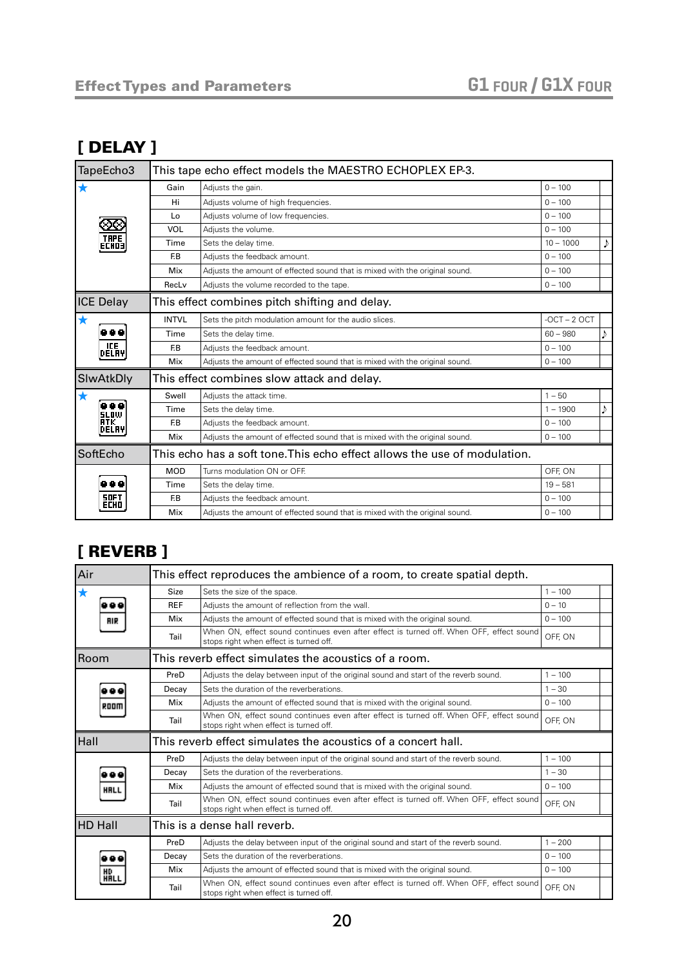#### [ DELAY ]

| TapeEcho3                  |              | This tape echo effect models the MAESTRO ECHOPLEX EP-3.                     |                |   |
|----------------------------|--------------|-----------------------------------------------------------------------------|----------------|---|
| x                          | Gain         | Adjusts the gain.                                                           | $0 - 100$      |   |
|                            | Hi           | Adjusts volume of high frequencies.                                         | $0 - 100$      |   |
|                            | Lo           | Adjusts volume of low frequencies.                                          | $0 - 100$      |   |
| 50.                        | VOL          | Adjusts the volume.                                                         | $0 - 100$      |   |
| <b>THPE</b><br>ECHO3I      | Time         | Sets the delay time.                                                        | $10 - 1000$    |   |
|                            | F.B          | Adiusts the feedback amount.                                                | $0 - 100$      |   |
|                            | Mix          | Adjusts the amount of effected sound that is mixed with the original sound. | $0 - 100$      |   |
|                            | RecLv        | Adjusts the volume recorded to the tape.                                    | $0 - 100$      |   |
| <b>ICE Delay</b>           |              | This effect combines pitch shifting and delay.                              |                |   |
| *                          | <b>INTVL</b> | Sets the pitch modulation amount for the audio slices.                      | $-OCT - 2 OCT$ |   |
|                            | Time         | Sets the delay time.                                                        | $60 - 980$     |   |
| <b>ICE</b><br>DELAYI       | F.B          | Adjusts the feedback amount.                                                | $0 - 100$      |   |
|                            | Mix          | Adjusts the amount of effected sound that is mixed with the original sound. | $0 - 100$      |   |
| SlwAtkDly                  |              | This effect combines slow attack and delay.                                 |                |   |
|                            | Swell        | Adjusts the attack time.                                                    | $1 - 50$       |   |
| 88 Q<br><b>SLOW</b>        | Time         | Sets the delay time.                                                        | $1 - 1900$     | Þ |
| RTK.<br>DELAY              | F.B          | Adjusts the feedback amount.                                                | $0 - 100$      |   |
|                            | Mix          | Adjusts the amount of effected sound that is mixed with the original sound. | $0 - 100$      |   |
| SoftEcho                   |              | This echo has a soft tone.This echo effect allows the use of modulation.    |                |   |
|                            | <b>MOD</b>   | Turns modulation ON or OFF.                                                 | OFF, ON        |   |
| 888                        | Time         | Sets the delay time.                                                        | $19 - 581$     |   |
| <b>SOFT</b><br><b>ECHD</b> | F.B          | Adjusts the feedback amount.                                                | $0 - 100$      |   |
|                            | Mix          | Adjusts the amount of effected sound that is mixed with the original sound. | $0 - 100$      |   |

## <span id="page-19-0"></span>[ REVERB ]

| Air            |             | This effect reproduces the ambience of a room, to create spatial depth.                                                           |           |
|----------------|-------------|-----------------------------------------------------------------------------------------------------------------------------------|-----------|
| $\bigstar$     | <b>Size</b> | Sets the size of the space.                                                                                                       | $1 - 100$ |
|                | <b>REF</b>  | Adjusts the amount of reflection from the wall.                                                                                   | $0 - 10$  |
| <b>RIR</b>     | Mix         | Adjusts the amount of effected sound that is mixed with the original sound.                                                       | $0 - 100$ |
|                | Tail        | When ON, effect sound continues even after effect is turned off. When OFF, effect sound<br>stops right when effect is turned off. | OFF, ON   |
| <b>Room</b>    |             | This reverb effect simulates the acoustics of a room.                                                                             |           |
|                | PreD        | Adjusts the delay between input of the original sound and start of the reverb sound.                                              | $1 - 100$ |
|                | Decay       | Sets the duration of the reverberations.                                                                                          | $1 - 30$  |
| ROOM           | Mix         | Adjusts the amount of effected sound that is mixed with the original sound.                                                       | $0 - 100$ |
|                | Tail        | When ON, effect sound continues even after effect is turned off. When OFF, effect sound<br>stops right when effect is turned off. | OFF, ON   |
| Hall           |             | This reverb effect simulates the acoustics of a concert hall.                                                                     |           |
|                | PreD        | Adjusts the delay between input of the original sound and start of the reverb sound.                                              | $1 - 100$ |
|                | Decay       | Sets the duration of the reverberations.                                                                                          | $1 - 30$  |
| <b>HRLL</b>    | Mix         | Adjusts the amount of effected sound that is mixed with the original sound.                                                       | $0 - 100$ |
|                | Tail        | When ON, effect sound continues even after effect is turned off. When OFF, effect sound<br>stops right when effect is turned off. | OFF, ON   |
| <b>HD Hall</b> |             | This is a dense hall reverb.                                                                                                      |           |
|                | PreD        | Adjusts the delay between input of the original sound and start of the reverb sound.                                              | $1 - 200$ |
|                | Decay       | Sets the duration of the reverberations.                                                                                          | $0 - 100$ |
| HD<br>HALL     | Mix         | Adjusts the amount of effected sound that is mixed with the original sound.                                                       | $0 - 100$ |
|                | Tail        | When ON, effect sound continues even after effect is turned off. When OFF, effect sound<br>stops right when effect is turned off. | OFF, ON   |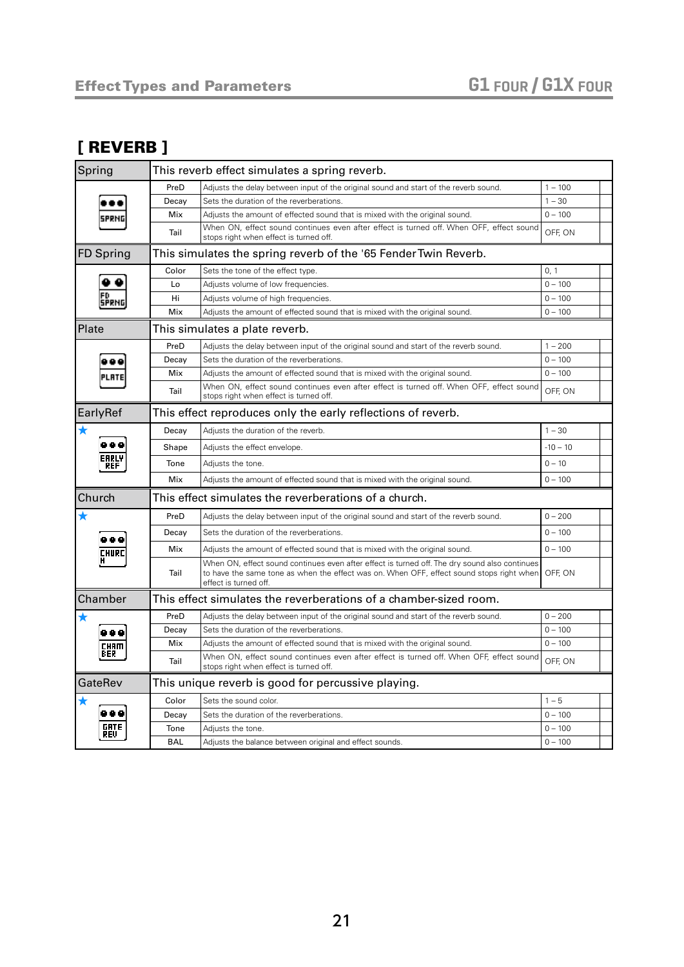#### [ REVERB ]

| Spring                      | This reverb effect simulates a spring reverb.                     |                                                                                                                                                                                                                            |            |  |
|-----------------------------|-------------------------------------------------------------------|----------------------------------------------------------------------------------------------------------------------------------------------------------------------------------------------------------------------------|------------|--|
|                             | PreD                                                              | Adjusts the delay between input of the original sound and start of the reverb sound.                                                                                                                                       | $1 - 100$  |  |
|                             | Decay                                                             | Sets the duration of the reverberations.                                                                                                                                                                                   | $1 - 30$   |  |
|                             | Mix                                                               | Adjusts the amount of effected sound that is mixed with the original sound.                                                                                                                                                | $0 - 100$  |  |
|                             | Tail                                                              | When ON, effect sound continues even after effect is turned off. When OFF, effect sound<br>stops right when effect is turned off.                                                                                          | OFF. ON    |  |
| <b>FD Spring</b>            | This simulates the spring reverb of the '65 Fender Twin Reverb.   |                                                                                                                                                                                                                            |            |  |
|                             | Color                                                             | Sets the tone of the effect type.                                                                                                                                                                                          | 0, 1       |  |
|                             | Lo                                                                | Adjusts volume of low frequencies.                                                                                                                                                                                         | $0 - 100$  |  |
|                             | Hi                                                                | Adjusts volume of high frequencies.                                                                                                                                                                                        | $0 - 100$  |  |
|                             | Mix                                                               | Adjusts the amount of effected sound that is mixed with the original sound.                                                                                                                                                | $0 - 100$  |  |
| Plate                       | This simulates a plate reverb.                                    |                                                                                                                                                                                                                            |            |  |
|                             | PreD                                                              | Adjusts the delay between input of the original sound and start of the reverb sound.                                                                                                                                       | $1 - 200$  |  |
|                             | Decay                                                             | Sets the duration of the reverberations.                                                                                                                                                                                   | $0 - 100$  |  |
|                             | Mix                                                               | Adjusts the amount of effected sound that is mixed with the original sound.                                                                                                                                                | $0 - 100$  |  |
|                             | Tail                                                              | When ON, effect sound continues even after effect is turned off. When OFF, effect sound<br>stops right when effect is turned off.                                                                                          | OFF, ON    |  |
| EarlyRef                    | This effect reproduces only the early reflections of reverb.      |                                                                                                                                                                                                                            |            |  |
| ★                           | Decay                                                             | Adjusts the duration of the reverb.                                                                                                                                                                                        | $1 - 30$   |  |
| .<br>EAPLY<br>REF           | Shape                                                             | Adjusts the effect envelope.                                                                                                                                                                                               | $-10 - 10$ |  |
|                             | Tone                                                              | Adjusts the tone.                                                                                                                                                                                                          | $0 - 10$   |  |
|                             | Mix                                                               | Adjusts the amount of effected sound that is mixed with the original sound.                                                                                                                                                | $0 - 100$  |  |
| Church                      | This effect simulates the reverberations of a church.             |                                                                                                                                                                                                                            |            |  |
| ★                           | PreD                                                              | Adjusts the delay between input of the original sound and start of the reverb sound.                                                                                                                                       | $0 - 200$  |  |
|                             | Decay                                                             | Sets the duration of the reverberations.                                                                                                                                                                                   | $0 - 100$  |  |
| EMURI                       | Mix                                                               | Adjusts the amount of effected sound that is mixed with the original sound.                                                                                                                                                | $0 - 100$  |  |
|                             | Tail                                                              | When ON, effect sound continues even after effect is turned off. The dry sound also continues<br>to have the same tone as when the effect was on. When OFF, effect sound stops right when OFF, ON<br>effect is turned off. |            |  |
| Chamber                     | This effect simulates the reverberations of a chamber-sized room. |                                                                                                                                                                                                                            |            |  |
|                             | PreD                                                              | Adjusts the delay between input of the original sound and start of the reverb sound.                                                                                                                                       | $0 - 200$  |  |
| 8 Q C<br><b>CHAM</b><br>FER | Decay                                                             | Sets the duration of the reverberations.                                                                                                                                                                                   | $0 - 100$  |  |
|                             | Mix                                                               | Adjusts the amount of effected sound that is mixed with the original sound.                                                                                                                                                | $0 - 100$  |  |
|                             | Tail                                                              | When ON, effect sound continues even after effect is turned off. When OFF, effect sound<br>stops right when effect is turned off.                                                                                          | OFF, ON    |  |
| GateRev                     | This unique reverb is good for percussive playing.                |                                                                                                                                                                                                                            |            |  |
|                             | Color                                                             | Sets the sound color.                                                                                                                                                                                                      | $1 - 5$    |  |
| 0 Q Q                       | Decay                                                             | Sets the duration of the reverberations.                                                                                                                                                                                   | $0 - 100$  |  |
| GATE<br>REU                 | Tone                                                              | Adjusts the tone.                                                                                                                                                                                                          | $0 - 100$  |  |
|                             | <b>BAL</b>                                                        | Adjusts the balance between original and effect sounds.                                                                                                                                                                    | $0 - 100$  |  |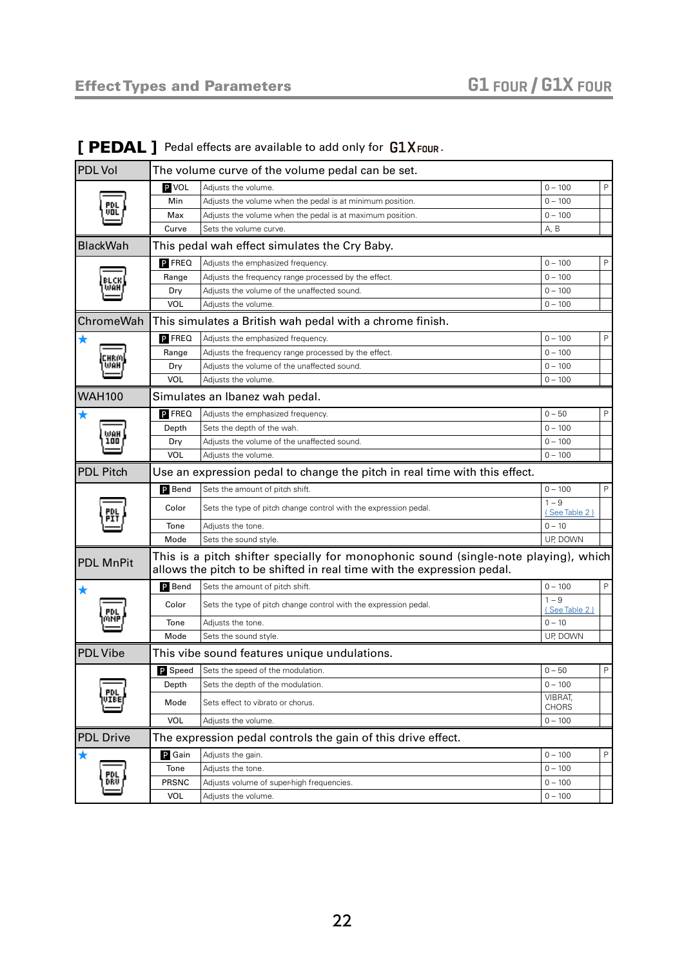| <b>PDL</b> Vol   | The volume curve of the volume pedal can be set.                                                                                                              |                                                                  |                          |   |
|------------------|---------------------------------------------------------------------------------------------------------------------------------------------------------------|------------------------------------------------------------------|--------------------------|---|
|                  | P VOL                                                                                                                                                         | Adjusts the volume.                                              | $0 - 100$                | P |
|                  | Min                                                                                                                                                           | Adjusts the volume when the pedal is at minimum position.        | $0 - 100$                |   |
|                  | Max                                                                                                                                                           | Adjusts the volume when the pedal is at maximum position.        | $0 - 100$                |   |
|                  | Curve                                                                                                                                                         | Sets the volume curve.                                           | A, B                     |   |
| BlackWah         |                                                                                                                                                               | This pedal wah effect simulates the Cry Baby.                    |                          |   |
|                  | <b>P</b> FREQ                                                                                                                                                 | Adjusts the emphasized frequency.                                | $0 - 100$                | P |
|                  | Range                                                                                                                                                         | Adjusts the frequency range processed by the effect.             | $0 - 100$                |   |
|                  | Dry                                                                                                                                                           | Adjusts the volume of the unaffected sound.                      | $0 - 100$                |   |
|                  | <b>VOL</b>                                                                                                                                                    | Adjusts the volume.                                              | $0 - 100$                |   |
| ChromeWah        |                                                                                                                                                               | This simulates a British wah pedal with a chrome finish.         |                          |   |
|                  | P FREQ                                                                                                                                                        | Adjusts the emphasized frequency.                                | $0 - 100$                | P |
|                  | Range                                                                                                                                                         | Adjusts the frequency range processed by the effect.             | $0 - 100$                |   |
|                  | Dry                                                                                                                                                           | Adjusts the volume of the unaffected sound.                      | $0 - 100$                |   |
|                  | <b>VOL</b>                                                                                                                                                    | Adjusts the volume.                                              | $0 - 100$                |   |
| <b>WAH100</b>    |                                                                                                                                                               | Simulates an Ibanez wah pedal.                                   |                          |   |
| ★                | P FREQ                                                                                                                                                        | Adjusts the emphasized frequency.                                | $0 - 50$                 | P |
| ,JAH             | Depth                                                                                                                                                         | Sets the depth of the wah.                                       | $0 - 100$                |   |
| 100              | Dry                                                                                                                                                           | Adjusts the volume of the unaffected sound.                      | $0 - 100$                |   |
|                  | <b>VOL</b>                                                                                                                                                    | Adjusts the volume.                                              | $0 - 100$                |   |
| <b>PDL Pitch</b> | Use an expression pedal to change the pitch in real time with this effect.                                                                                    |                                                                  |                          |   |
|                  | P Bend                                                                                                                                                        | Sets the amount of pitch shift.                                  | $0 - 100$                | P |
|                  | Color                                                                                                                                                         | Sets the type of pitch change control with the expression pedal. | $1 - 9$<br>(See Table 2) |   |
|                  | Tone                                                                                                                                                          | Adjusts the tone.                                                | $0 - 10$                 |   |
|                  | Mode                                                                                                                                                          | Sets the sound style.                                            | UP, DOWN                 |   |
| <b>PDL MnPit</b> | This is a pitch shifter specially for monophonic sound (single-note playing), which<br>allows the pitch to be shifted in real time with the expression pedal. |                                                                  |                          |   |
|                  | P Bend                                                                                                                                                        | Sets the amount of pitch shift.                                  | $0 - 100$                | P |
|                  | Color                                                                                                                                                         | Sets the type of pitch change control with the expression pedal. | $1 - 9$<br>(See Table 2) |   |
|                  | Tone                                                                                                                                                          | Adjusts the tone.                                                | $0 - 10$                 |   |
|                  | Mode                                                                                                                                                          | Sets the sound style.                                            | UP, DOWN                 |   |
| <b>PDL Vibe</b>  | This vibe sound features unique undulations.                                                                                                                  |                                                                  |                          |   |
|                  | $P$ Speed                                                                                                                                                     | Sets the speed of the modulation.                                | $0 - 50$                 | Ρ |
|                  | Depth                                                                                                                                                         | Sets the depth of the modulation.                                | $0 - 100$                |   |
|                  | Mode                                                                                                                                                          | Sets effect to vibrato or chorus.                                | VIBRAT,<br><b>CHORS</b>  |   |
|                  | VOL                                                                                                                                                           | Adjusts the volume.                                              | $0 - 100$                |   |
| <b>PDL Drive</b> |                                                                                                                                                               | The expression pedal controls the gain of this drive effect.     |                          |   |
| ★                | P Gain                                                                                                                                                        | Adjusts the gain.                                                | $0 - 100$                | P |
|                  | Tone                                                                                                                                                          | Adjusts the tone.                                                | $0 - 100$                |   |
|                  | PRSNC                                                                                                                                                         | Adjusts volume of super-high frequencies.                        | $0 - 100$                |   |
|                  | VOL                                                                                                                                                           | Adjusts the volume.                                              | $0 - 100$                |   |

#### <span id="page-21-0"></span> $[$  PEDAL  $]$  Pedal effects are available to add only for  $G1X$ Four.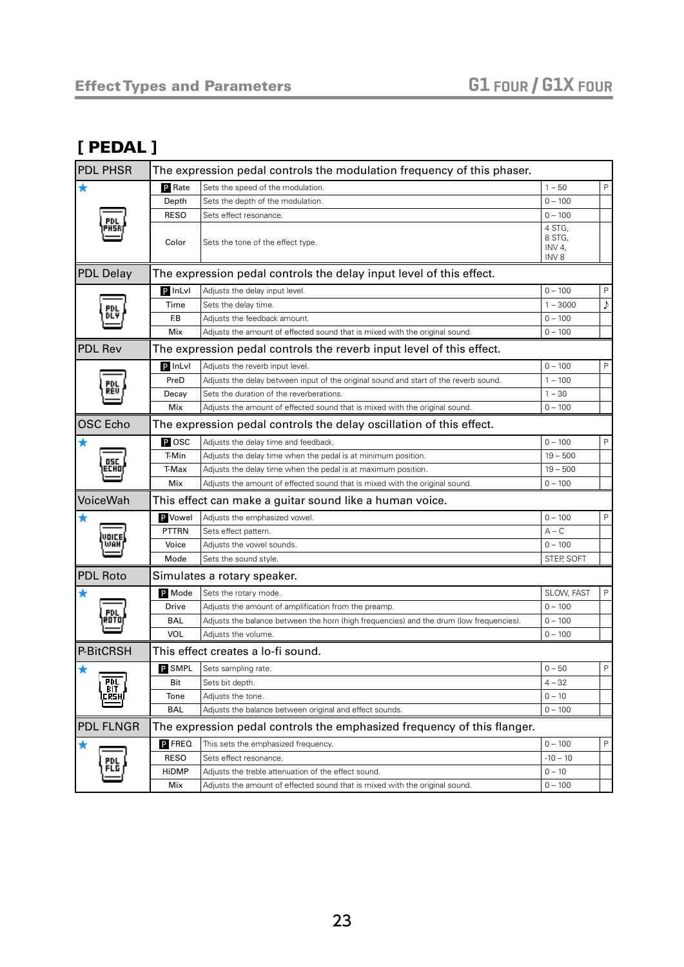#### [ PEDAL ]

| <b>PDL PHSR</b>                  | The expression pedal controls the modulation frequency of this phaser. |                                                                                         |                  |              |
|----------------------------------|------------------------------------------------------------------------|-----------------------------------------------------------------------------------------|------------------|--------------|
| $\bigstar$                       | <b>P</b> Rate                                                          | Sets the speed of the modulation.                                                       | $1 - 50$         | $\mathsf{P}$ |
|                                  | Depth                                                                  | Sets the depth of the modulation.                                                       | $0 - 100$        |              |
|                                  | <b>RESO</b>                                                            | Sets effect resonance.                                                                  | $0 - 100$        |              |
|                                  |                                                                        |                                                                                         | 4 STG,           |              |
|                                  | Color                                                                  | Sets the tone of the effect type.                                                       | 8 STG,<br>INV 4, |              |
|                                  |                                                                        |                                                                                         | INV <sub>8</sub> |              |
| <b>PDL Delay</b>                 |                                                                        | The expression pedal controls the delay input level of this effect.                     |                  |              |
|                                  | $P$ InLvl                                                              | Adjusts the delay input level.                                                          | $0 - 100$        | $\mathsf{P}$ |
|                                  | Time                                                                   | Sets the delay time.                                                                    | $1 - 3000$       | ♪            |
|                                  | F.B                                                                    | Adjusts the feedback amount.                                                            | $0 - 100$        |              |
|                                  | Mix                                                                    | Adjusts the amount of effected sound that is mixed with the original sound.             | $0 - 100$        |              |
| <b>PDL Rev</b>                   |                                                                        | The expression pedal controls the reverb input level of this effect.                    |                  |              |
|                                  | P InLvl                                                                | Adjusts the reverb input level.                                                         | $0 - 100$        | $\mathsf{P}$ |
|                                  | PreD                                                                   | Adjusts the delay between input of the original sound and start of the reverb sound.    | $1 - 100$        |              |
| REV                              | Decay                                                                  | Sets the duration of the reverberations.                                                | $1 - 30$         |              |
|                                  | Mix                                                                    | Adjusts the amount of effected sound that is mixed with the original sound.             | $0 - 100$        |              |
| <b>OSC</b> Echo                  | The expression pedal controls the delay oscillation of this effect.    |                                                                                         |                  |              |
| ★                                | $P$ OSC                                                                | Adjusts the delay time and feedback.                                                    | $0 - 100$        | P            |
| 05C                              | T-Min                                                                  | Adjusts the delay time when the pedal is at minimum position.                           | $19 - 500$       |              |
|                                  | T-Max                                                                  | Adjusts the delay time when the pedal is at maximum position.                           | $19 - 500$       |              |
|                                  | Mix                                                                    | Adjusts the amount of effected sound that is mixed with the original sound.             | $0 - 100$        |              |
| VoiceWah                         | This effect can make a guitar sound like a human voice.                |                                                                                         |                  |              |
| ★                                | P Vowel                                                                | Adjusts the emphasized vowel.                                                           | $0 - 100$        | $\mathsf{P}$ |
|                                  | <b>PTTRN</b>                                                           | Sets effect pattern.                                                                    | $A - C$          |              |
|                                  | Voice                                                                  | Adjusts the vowel sounds.                                                               | $0 - 100$        |              |
|                                  | Mode                                                                   | Sets the sound style.                                                                   | STEP, SOFT       |              |
| <b>PDL Roto</b>                  |                                                                        | Simulates a rotary speaker.                                                             |                  |              |
| ★                                | P Mode                                                                 | Sets the rotary mode.                                                                   | SLOW, FAST       | P            |
| PDL                              | Drive                                                                  | Adjusts the amount of amplification from the preamp.                                    | $0 - 100$        |              |
|                                  | <b>BAL</b>                                                             | Adjusts the balance between the horn (high frequencies) and the drum (low frequencies). | $0 - 100$        |              |
|                                  | <b>VOL</b>                                                             | Adjusts the volume.                                                                     | $0 - 100$        |              |
| P-BitCRSH                        | This effect creates a lo-fi sound.                                     |                                                                                         |                  |              |
|                                  | <b>P</b> SMPL                                                          | Sets sampling rate.                                                                     | $0 - 50$         | $\mathsf{P}$ |
| <b>PDL</b><br><b>BIT</b><br>CRSH | Bit                                                                    | Sets bit depth.                                                                         | $4 - 32$         |              |
|                                  | Tone                                                                   | Adjusts the tone.                                                                       | $0 - 10$         |              |
|                                  | <b>BAL</b>                                                             | Adjusts the balance between original and effect sounds.                                 | $0 - 100$        |              |
| <b>PDL FLNGR</b>                 |                                                                        | The expression pedal controls the emphasized frequency of this flanger.                 |                  |              |
| $\bigstar$                       | P FREQ                                                                 | This sets the emphasized frequency.                                                     | $0 - 100$        | P            |
| PDL                              | <b>RESO</b>                                                            | Sets effect resonance.                                                                  | $-10 - 10$       |              |
| FLG                              | <b>HiDMP</b>                                                           | Adjusts the treble attenuation of the effect sound.                                     | $0 - 10$         |              |
|                                  | Mix                                                                    | Adjusts the amount of effected sound that is mixed with the original sound.             | $0 - 100$        |              |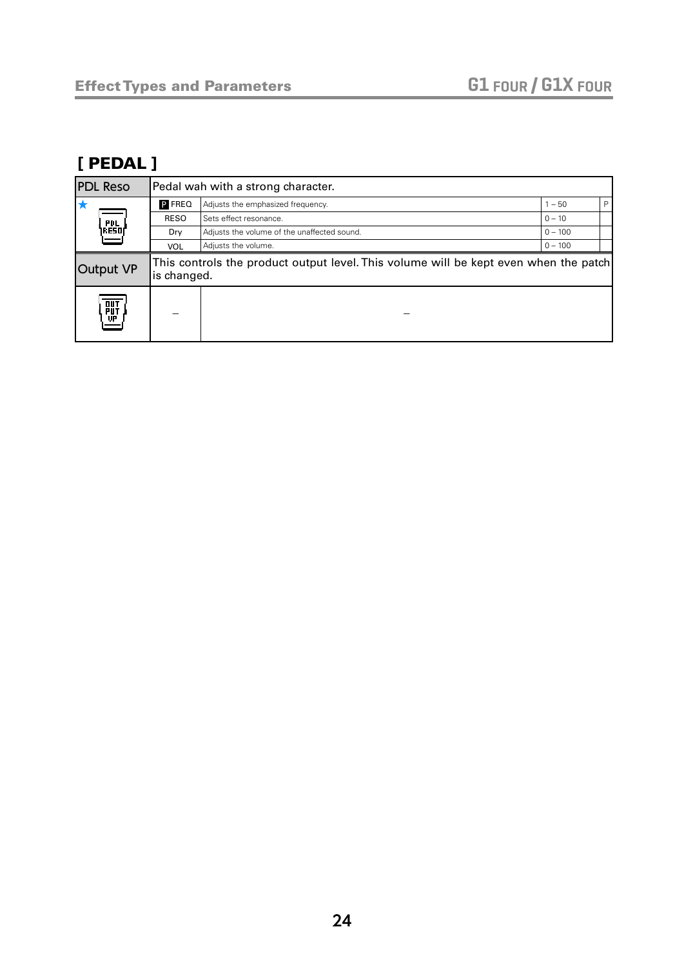### [ PEDAL ]

| <b>PDL Reso</b>  | Pedal wah with a strong character. |                                                                                      |           |   |
|------------------|------------------------------------|--------------------------------------------------------------------------------------|-----------|---|
| E                | P FREQ                             | Adjusts the emphasized frequency.                                                    | $-50$     | P |
|                  | <b>RESO</b>                        | Sets effect resonance.                                                               | $0 - 10$  |   |
| PDL  <br> Reso   | Dry                                | Adjusts the volume of the unaffected sound.                                          | $0 - 100$ |   |
|                  | <b>VOL</b>                         | Adjusts the volume.                                                                  | $0 - 100$ |   |
| Output VP        | is changed.                        | This controls the product output level. This volume will be kept even when the patch |           |   |
| <b>PUT</b><br>UP |                                    |                                                                                      |           |   |